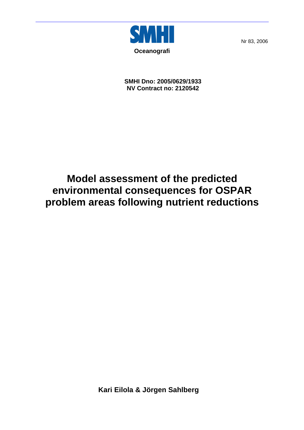

Nr 83, 2006

**SMHI Dno: 2005/0629/1933 NV Contract no: 2120542** 

## **Model assessment of the predicted environmental consequences for OSPAR problem areas following nutrient reductions**

**Kari Eilola & Jörgen Sahlberg**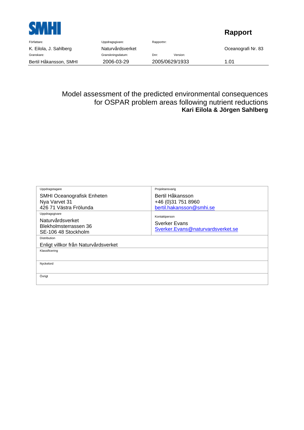

## **Rapport**

| Författare:            | Uppdragsgivare:   | Rapportnr:     |          |                    |
|------------------------|-------------------|----------------|----------|--------------------|
| K. Eilola, J. Sahlberg | Naturvårdsverket  |                |          | Oceanografi Nr. 83 |
| Granskare:             | Granskningsdatum: | Dnr:           | Version: |                    |
| Bertil Håkansson, SMHI | 2006-03-29        | 2005/0629/1933 |          | 1.01               |

Model assessment of the predicted environmental consequences for OSPAR problem areas following nutrient reductions **Kari Eilola & Jörgen Sahlberg** 

| Uppdragstagare                                                                     | Projektansvarig                                                     |
|------------------------------------------------------------------------------------|---------------------------------------------------------------------|
| <b>SMHI Oceanografisk Enheten</b><br>Nya Varvet 31<br>426 71 Västra Frölunda       | Bertil Håkansson<br>+46 (0) 31 751 8960<br>bertil.hakansson@smhi.se |
| Uppdragsgivare<br>Naturvårdsverket<br>Blekholmsterrassen 36<br>SE-106 48 Stockholm | Kontaktperson<br>Sverker Evans<br>Sverker.Evans@naturvardsverket.se |
| <b>Distribution</b><br>Enligt villkor från Naturvårdsverket<br>Klassificering      |                                                                     |
|                                                                                    |                                                                     |
| Nyckelord                                                                          |                                                                     |
| Övrigt                                                                             |                                                                     |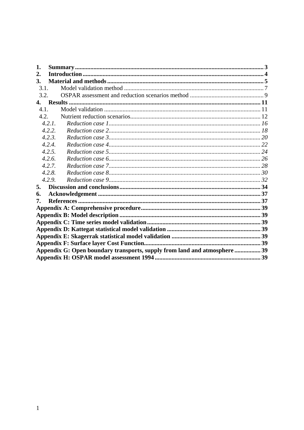| 1.   |                                                                           |  |
|------|---------------------------------------------------------------------------|--|
| 2.   |                                                                           |  |
| 3.   |                                                                           |  |
| 3.1. |                                                                           |  |
| 3.2. |                                                                           |  |
|      |                                                                           |  |
| 4.1. |                                                                           |  |
| 4.2. |                                                                           |  |
|      | 4.2.1.                                                                    |  |
|      | 4.2.2.                                                                    |  |
|      | 4.2.3.                                                                    |  |
|      | 4.2.4.                                                                    |  |
|      | 4.2.5.                                                                    |  |
|      | 4.2.6.                                                                    |  |
|      | 4.2.7.                                                                    |  |
|      | 4.2.8.                                                                    |  |
|      | 4.2.9.                                                                    |  |
| 5.   |                                                                           |  |
| 6.   |                                                                           |  |
| 7.   |                                                                           |  |
|      |                                                                           |  |
|      |                                                                           |  |
|      |                                                                           |  |
|      |                                                                           |  |
|      |                                                                           |  |
|      |                                                                           |  |
|      | Appendix G: Open boundary transports, supply from land and atmosphere  39 |  |
|      |                                                                           |  |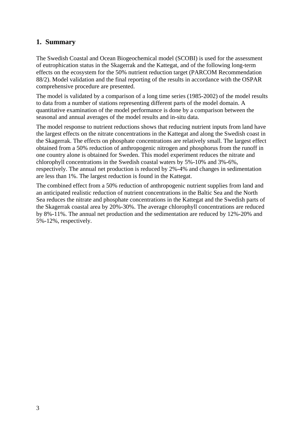### **1. Summary**

The Swedish Coastal and Ocean Biogeochemical model (SCOBI) is used for the assessment of eutrophication status in the Skagerrak and the Kattegat, and of the following long-term effects on the ecosystem for the 50% nutrient reduction target (PARCOM Recommendation 88/2). Model validation and the final reporting of the results in accordance with the OSPAR comprehensive procedure are presented.

The model is validated by a comparison of a long time series (1985-2002) of the model results to data from a number of stations representing different parts of the model domain. A quantitative examination of the model performance is done by a comparison between the seasonal and annual averages of the model results and in-situ data.

The model response to nutrient reductions shows that reducing nutrient inputs from land have the largest effects on the nitrate concentrations in the Kattegat and along the Swedish coast in the Skagerrak. The effects on phosphate concentrations are relatively small. The largest effect obtained from a 50% reduction of anthropogenic nitrogen and phosphorus from the runoff in one country alone is obtained for Sweden. This model experiment reduces the nitrate and chlorophyll concentrations in the Swedish coastal waters by 5%-10% and 3%-6%, respectively. The annual net production is reduced by 2%-4% and changes in sedimentation are less than 1%. The largest reduction is found in the Kattegat.

The combined effect from a 50% reduction of anthropogenic nutrient supplies from land and an anticipated realistic reduction of nutrient concentrations in the Baltic Sea and the North Sea reduces the nitrate and phosphate concentrations in the Kattegat and the Swedish parts of the Skagerrak coastal area by 20%-30%. The average chlorophyll concentrations are reduced by 8%-11%. The annual net production and the sedimentation are reduced by 12%-20% and 5%-12%, respectively.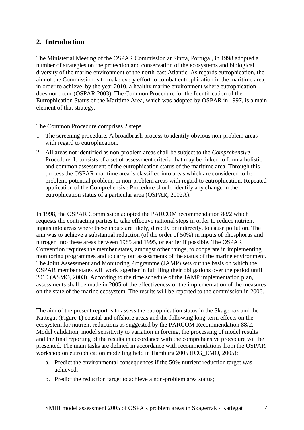## **2. Introduction**

The Ministerial Meeting of the OSPAR Commission at Sintra, Portugal, in 1998 adopted a number of strategies on the protection and conservation of the ecosystems and biological diversity of the marine environment of the north-east Atlantic. As regards eutrophication, the aim of the Commission is to make every effort to combat eutrophication in the maritime area, in order to achieve, by the year 2010, a healthy marine environment where eutrophication does not occur (OSPAR 2003). The Common Procedure for the Identification of the Eutrophication Status of the Maritime Area, which was adopted by OSPAR in 1997, is a main element of that strategy.

The Common Procedure comprises 2 steps.

- 1. The screening procedure. A broadbrush process to identify obvious non-problem areas with regard to eutrophication.
- 2. All areas not identified as non-problem areas shall be subject to the *Comprehensive* Procedure. It consists of a set of assessment criteria that may be linked to form a holistic and common assessment of the eutrophication status of the maritime area. Through this process the OSPAR maritime area is classified into areas which are considered to be problem, potential problem, or non-problem areas with regard to eutrophication. Repeated application of the Comprehensive Procedure should identify any change in the eutrophication status of a particular area (OSPAR, 2002A).

In 1998, the OSPAR Commission adopted the PARCOM recommendation 88/2 which requests the contracting parties to take effective national steps in order to reduce nutrient inputs into areas where these inputs are likely, directly or indirectly, to cause pollution. The aim was to achieve a substantial reduction (of the order of 50%) in inputs of phosphorus and nitrogen into these areas between 1985 and 1995, or earlier if possible. The OSPAR Convention requires the member states, amongst other things, to cooperate in implementing monitoring programmes and to carry out assessments of the status of the marine environment. The Joint Assessment and Monitoring Programme (JAMP) sets out the basis on which the OSPAR member states will work together in fulfilling their obligations over the period until 2010 (ASMO, 2003). According to the time schedule of the JAMP implementation plan, assessments shall be made in 2005 of the effectiveness of the implementation of the measures on the state of the marine ecosystem. The results will be reported to the commission in 2006.

The aim of the present report is to assess the eutrophication status in the Skagerrak and the Kattegat (Figure 1) coastal and offshore areas and the following long-term effects on the ecosystem for nutrient reductions as suggested by the PARCOM Recommendation 88/2. Model validation, model sensitivity to variation in forcing, the processing of model results and the final reporting of the results in accordance with the comprehensive procedure will be presented. The main tasks are defined in accordance with recommendations from the OSPAR workshop on eutrophication modelling held in Hamburg 2005 (ICG\_EMO, 2005):

- a. Predict the environmental consequences if the 50% nutrient reduction target was achieved;
- b. Predict the reduction target to achieve a non-problem area status;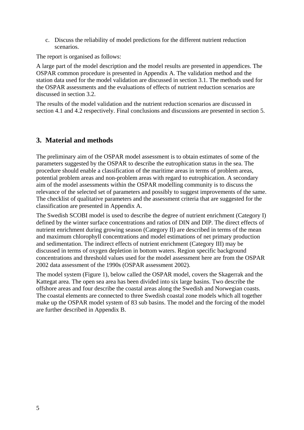c. Discuss the reliability of model predictions for the different nutrient reduction scenarios.

The report is organised as follows:

A large part of the model description and the model results are presented in appendices. The OSPAR common procedure is presented in Appendix A. The validation method and the station data used for the model validation are discussed in section 3.1. The methods used for the OSPAR assessments and the evaluations of effects of nutrient reduction scenarios are discussed in section 3.2.

The results of the model validation and the nutrient reduction scenarios are discussed in section 4.1 and 4.2 respectively. Final conclusions and discussions are presented in section 5.

## **3. Material and methods**

The preliminary aim of the OSPAR model assessment is to obtain estimates of some of the parameters suggested by the OSPAR to describe the eutrophication status in the sea. The procedure should enable a classification of the maritime areas in terms of problem areas, potential problem areas and non-problem areas with regard to eutrophication. A secondary aim of the model assessments within the OSPAR modelling community is to discuss the relevance of the selected set of parameters and possibly to suggest improvements of the same. The checklist of qualitative parameters and the assessment criteria that are suggested for the classification are presented in Appendix A.

The Swedish SCOBI model is used to describe the degree of nutrient enrichment (Category I) defined by the winter surface concentrations and ratios of DIN and DIP. The direct effects of nutrient enrichment during growing season (Category II) are described in terms of the mean and maximum chlorophyll concentrations and model estimations of net primary production and sedimentation. The indirect effects of nutrient enrichment (Category III) may be discussed in terms of oxygen depletion in bottom waters. Region specific background concentrations and threshold values used for the model assessment here are from the OSPAR 2002 data assessment of the 1990s (OSPAR assessment 2002).

The model system (Figure 1), below called the OSPAR model, covers the Skagerrak and the Kattegat area. The open sea area has been divided into six large basins. Two describe the offshore areas and four describe the coastal areas along the Swedish and Norwegian coasts. The coastal elements are connected to three Swedish coastal zone models which all together make up the OSPAR model system of 83 sub basins. The model and the forcing of the model are further described in Appendix B.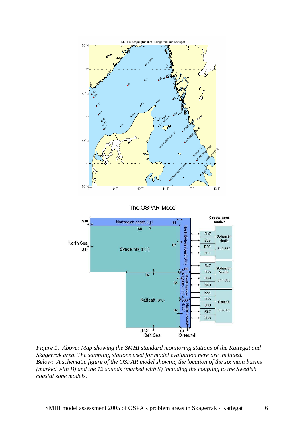

*Figure 1. Above: Map showing the SMHI standard monitoring stations of the Kattegat and Skagerrak area. The sampling stations used for model evaluation here are included. Below: A schematic figure of the OSPAR model showing the location of the six main basins (marked with B) and the 12 sounds (marked with S) including the coupling to the Swedish coastal zone models.*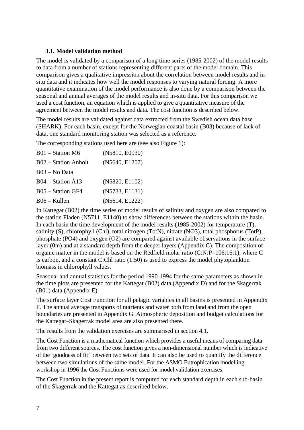#### **3.1. Model validation method**

The model is validated by a comparison of a long time series (1985-2002) of the model results to data from a number of stations representing different parts of the model domain. This comparison gives a qualitative impression about the correlation between model results and insitu data and it indicates how well the model responses to varying natural forcing. A more quantitative examination of the model performance is also done by a comparison between the seasonal and annual averages of the model results and in-situ data. For this comparison we used a cost function, an equation which is applied to give a quantitative measure of the agreement between the model results and data. The cost function is described below.

The model results are validated against data extracted from the Swedish ocean data base (SHARK). For each basin, except for the Norwegian coastal basin (B03) because of lack of data, one standard monitoring station was selected as a reference.

The corresponding stations used here are (see also Figure 1):

| $B01 - Station M6$   | (N5810, E0930) |
|----------------------|----------------|
| B02 – Station Anholt | (N5640, E1207) |
| B03 – No Data        |                |
| $B04 - Station A13$  | (N5820, E1102) |
| B05 - Station GF4    | (N5733, E1131) |
| $B06 -$ Kullen       | (N5614, E1222) |

In Kattegat (B02) the time series of model results of salinity and oxygen are also compared to the station Fladen (N5711, E1140) to show differences between the stations within the basin. In each basin the time development of the model results (1985-2002) for temperature (T), salinity (S), chlorophyll (Chl), total nitrogen (TotN), nitrate (NO3), total phosphorus (TotP), phosphate (PO4) and oxygen (O2) are compared against available observations in the surface layer (0m) and at a standard depth from the deeper layers (Appendix C). The composition of organic matter in the model is based on the Redfield molar ratio (C:N:P=106:16:1), where C is carbon, and a constant C:Chl ratio (1:50) is used to express the model phytoplankton biomass in chlorophyll values.

Seasonal and annual statistics for the period 1990-1994 for the same parameters as shown in the time plots are presented for the Kattegat (B02) data (Appendix D) and for the Skagerrak (B01) data (Appendix E).

The surface layer Cost Function for all pelagic variables in all basins is presented in Appendix F. The annual average transports of nutrients and water both from land and from the open boundaries are presented in Appendix G. Atmospheric deposition and budget calculations for the Kattegat–Skagerrak model area are also presented there.

The results from the validation exercises are summarised in section 4.1.

The Cost Function is a mathematical function which provides a useful means of comparing data from two different sources. The cost function gives a non-dimensional number which is indicative of the 'goodness of fit' between two sets of data. It can also be used to quantify the difference between two simulations of the same model. For the ASMO Eutrophication modelling workshop in 1996 the Cost Functions were used for model validation exercises.

The Cost Function in the present report is computed for each standard depth in each sub-basin of the Skagerrak and the Kattegat as described below.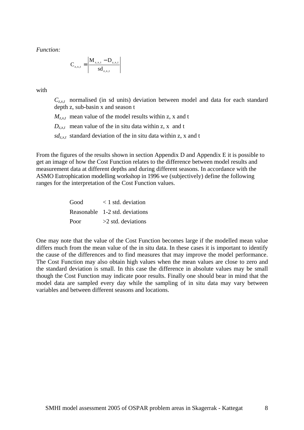*Function:*

$$
C_{z,x,t} = \left| \frac{M_{z,x,t} - D_{z,x,t}}{sd_{z,x,t}} \right|
$$

with

 $C_{z,xt}$  normalised (in sd units) deviation between model and data for each standard depth z, sub-basin x and season t

 $M_{z, x, t}$  mean value of the model results within z, x and t

 $D_{z, x, t}$  mean value of the in situ data within z, x and t

 $sd_{z,x,t}$  standard deviation of the in situ data within z, x and t

From the figures of the results shown in section Appendix D and Appendix E it is possible to get an image of how the Cost Function relates to the difference between model results and measurement data at different depths and during different seasons. In accordance with the ASMO Eutrophication modelling workshop in 1996 we (subjectively) define the following ranges for the interpretation of the Cost Function values.

> Good < 1 std. deviation Reasonable 1-2 std. deviations Poor  $>2$  std. deviations

One may note that the value of the Cost Function becomes large if the modelled mean value differs much from the mean value of the in situ data. In these cases it is important to identify the cause of the differences and to find measures that may improve the model performance. The Cost Function may also obtain high values when the mean values are close to zero and the standard deviation is small. In this case the difference in absolute values may be small though the Cost Function may indicate poor results. Finally one should bear in mind that the model data are sampled every day while the sampling of in situ data may vary between variables and between different seasons and locations.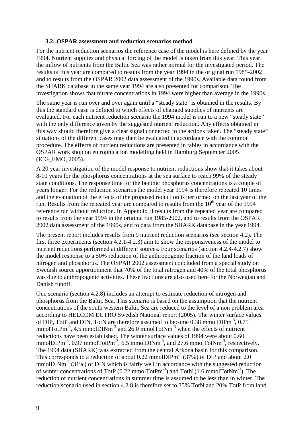#### **3.2. OSPAR assessment and reduction scenarios method**

For the nutrient reduction scenarios the reference case of the model is here defined by the year 1994. Nutrient supplies and physical forcing of the model is taken from this year. This year the inflow of nutrients from the Baltic Sea was rather normal for the investigated period. The results of this year are compared to results from the year 1994 in the original run 1985-2002 and to results from the OSPAR 2002 data assessment of the 1990s. Available data found from the SHARK database in the same year 1994 are also presented for comparison. The investigation shows that nitrate concentrations in 1994 were higher than average in the 1990s.

The same year is run over and over again until a "steady state" is obtained in the results. By this the standard case is defined to which effects of changed supplies of nutrients are evaluated. For each nutrient reduction scenario the 1994 model is run to a new "steady state" with the only difference given by the suggested nutrient reduction. Any effects obtained in this way should therefore give a clear signal connected to the actions taken. The "steady state" situations of the different cases may then be evaluated in accordance with the common procedure. The effects of nutrient reductions are presented in tables in accordance with the OSPAR work shop on eutrophication modelling held in Hamburg September 2005 (ICG\_EMO, 2005).

A 20 year investigation of the model response to nutrient reductions show that it takes about 8-10 years for the phosphorus concentrations at the sea surface to reach 99% of the steady state conditions. The response time for the benthic phosphorus concentrations is a couple of years longer. For the reduction scenarios the model year 1994 is therefore repeated 10 times and the evaluation of the effects of the proposed reduction is performed on the last year of the run. Results from the repeated year are compared to results from the  $10<sup>th</sup>$  year of the 1994 reference run without reduction. In Appendix H results from the repeated year are compared to results from the year 1994 in the original run 1985-2002, and to results from the OSPAR 2002 data assessment of the 1990s, and to data from the SHARK database in the year 1994.

The present report includes results from 9 nutrient reduction scenarios (see section 4.2). The first three experiments (section 4.2.1-4.2.3) aim to show the responsiveness of the model to nutrient reductions performed at different sources. Four scenarios (section 4.2.4-4.2.7) show the model response to a 50% reduction of the anthropogenic fraction of the land loads of nitrogen and phosphorus. The OSPAR 2002 assessment concluded from a special study on Swedish source apportionment that 70% of the total nitrogen and 40% of the total phosphorus was due to anthropogenic activities. These fractions are also used here for the Norwegian and Danish runoff.

One scenario (section 4.2.8) includes an attempt to estimate reduction of nitrogen and phosphorus from the Baltic Sea. This scenario is based on the assumption that the nutrient concentrations of the south western Baltic Sea are reduced to the level of a non problem area according to HELCOM EUTRO Swedish National report (2005). The winter surface values of DIP, TotP and DIN, TotN are therefore assumed to become 0.38 mmolDIPm<sup>-3</sup>, 0.75 mmolTotPm<sup>-3</sup>, 4.5 mmolDINm<sup>-3</sup> and 26.0 mmolTotNm<sup>-3</sup> when the effects of nutrient reductions have been established. The winter surface values of 1994 were about 0.60 mmolDIPm<sup>-3</sup>, 0.97 mmolTotPm<sup>-3</sup>, 6.5 mmolDINm<sup>-3</sup>, and 27.6 mmolTotNm<sup>-3</sup>, respectively. The 1994 data (SHARK) was extracted from the central Arkona basin for this comparison. This corresponds to a reduction of about 0.22 mmolDIPm<sup>-3</sup> (37%) of DIP and about 2.0 mmol $\text{DINm}^{-3}$  (31%) of DIN which is fairly well in accordance with the suggested reduction of winter concentrations of TotP  $(0.22 \text{ mmolTotPm}^{-3})$  and TotN  $(1.6 \text{ mmolTotNm}^{-3})$ . The reduction of nutrient concentrations in summer time is assumed to be less than in winter. The reduction scenario used in section 4.2.8 is therefore set to 35% TotN and 20% TotP from land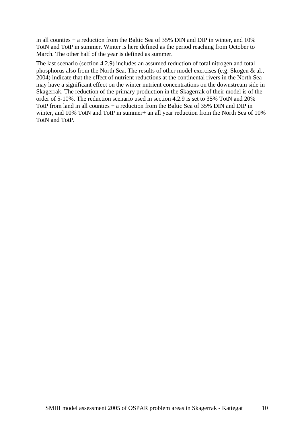in all counties  $+$  a reduction from the Baltic Sea of 35% DIN and DIP in winter, and 10% TotN and TotP in summer. Winter is here defined as the period reaching from October to March. The other half of the year is defined as summer.

The last scenario (section 4.2.9) includes an assumed reduction of total nitrogen and total phosphorus also from the North Sea. The results of other model exercises (e.g. Skogen & al., 2004) indicate that the effect of nutrient reductions at the continental rivers in the North Sea may have a significant effect on the winter nutrient concentrations on the downstream side in Skagerrak. The reduction of the primary production in the Skagerrak of their model is of the order of 5-10%. The reduction scenario used in section 4.2.9 is set to 35% TotN and 20% TotP from land in all counties + a reduction from the Baltic Sea of 35% DIN and DIP in winter, and 10% TotN and TotP in summer+ an all year reduction from the North Sea of 10% TotN and TotP.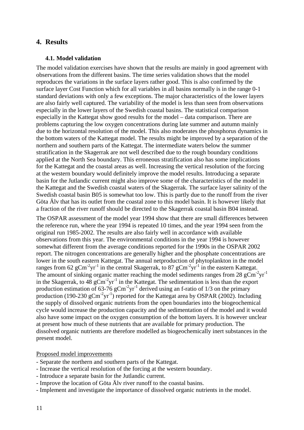#### **4. Results**

#### **4.1. Model validation**

The model validation exercises have shown that the results are mainly in good agreement with observations from the different basins. The time series validation shows that the model reproduces the variations in the surface layers rather good. This is also confirmed by the surface layer Cost Function which for all variables in all basins normally is in the range 0-1 standard deviations with only a few exceptions. The major characteristics of the lower layers are also fairly well captured. The variability of the model is less than seen from observations especially in the lower layers of the Swedish coastal basins. The statistical comparison especially in the Kattegat show good results for the model – data comparison. There are problems capturing the low oxygen concentrations during late summer and autumn mainly due to the horizontal resolution of the model. This also moderates the phosphorus dynamics in the bottom waters of the Kattegat model. The results might be improved by a separation of the northern and southern parts of the Kattegat. The intermediate waters below the summer stratification in the Skagerrak are not well described due to the rough boundary conditions applied at the North Sea boundary. This erroneous stratification also has some implications for the Kattegat and the coastal areas as well. Increasing the vertical resolution of the forcing at the western boundary would definitely improve the model results. Introducing a separate basin for the Jutlandic current might also improve some of the characteristics of the model in the Kattegat and the Swedish coastal waters of the Skagerrak. The surface layer salinity of the Swedish coastal basin B05 is somewhat too low. This is partly due to the runoff from the river Göta Älv that has its outlet from the coastal zone to this model basin. It is however likely that a fraction of the river runoff should be directed to the Skagerrak coastal basin B04 instead.

The OSPAR assessment of the model year 1994 show that there are small differences between the reference run, where the year 1994 is repeated 10 times, and the year 1994 seen from the original run 1985-2002. The results are also fairly well in accordance with available observations from this year. The environmental conditions in the year 1994 is however somewhat different from the average conditions reported for the 1990s in the OSPAR 2002 report. The nitrogen concentrations are generally higher and the phosphate concentrations are lower in the south eastern Kattegat. The annual netproduction of phytoplankton in the model ranges from 62  $gCm^2yr^{-1}$  in the central Skagerrak, to 87  $gCm^2yr^{-1}$  in the eastern Kattegat. The amount of sinking organic matter reaching the model sediments ranges from 28  $gCm^2yr^{-1}$ in the Skagerrak, to 48  $g\text{Cm}^2yr^{-1}$  in the Kattegat. The sedimentation is less than the export production estimation of  $63-76$   $gCm<sup>-2</sup>yr<sup>-1</sup>$  derived using an f-ratio of  $1/3$  on the primary production (190-230  $gCm^2yr^{-1}$ ) reported for the Kattegat area by OSPAR (2002). Including the supply of dissolved organic nutrients from the open boundaries into the biogeochemical cycle would increase the production capacity and the sedimentation of the model and it would also have some impact on the oxygen consumption of the bottom layers. It is however unclear at present how much of these nutrients that are available for primary production. The dissolved organic nutrients are therefore modelled as biogeochemically inert substances in the present model.

Proposed model improvements

- Separate the northern and southern parts of the Kattegat.
- Increase the vertical resolution of the forcing at the western boundary.
- Introduce a separate basin for the Jutlandic current.
- Improve the location of Göta Älv river runoff to the coastal basins.
- Implement and investigate the importance of dissolved organic nutrients in the model.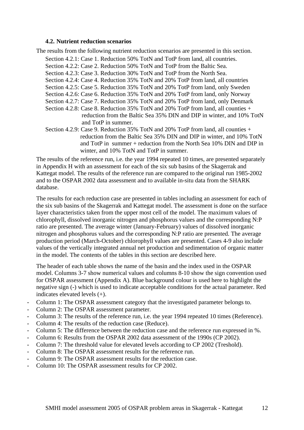#### **4.2. Nutrient reduction scenarios**

The results from the following nutrient reduction scenarios are presented in this section.

- Section 4.2.1: Case 1. Reduction 50% TotN and TotP from land, all countries.
- Section 4.2.2: Case 2. Reduction 50% TotN and TotP from the Baltic Sea.
- Section 4.2.3: Case 3. Reduction 30% TotN and TotP from the North Sea.
- Section 4.2.4: Case 4. Reduction 35% TotN and 20% TotP from land, all countries
- Section 4.2.5: Case 5. Reduction 35% TotN and 20% TotP from land, only Sweden
- Section 4.2.6: Case 6. Reduction 35% TotN and 20% TotP from land, only Norway
- Section 4.2.7: Case 7. Reduction 35% TotN and 20% TotP from land, only Denmark
- Section 4.2.8: Case 8. Reduction 35% TotN and 20% TotP from land, all counties + reduction from the Baltic Sea 35% DIN and DIP in winter, and 10% TotN and TotP in summer.
- Section 4.2.9: Case 9. Reduction 35% TotN and 20% TotP from land, all counties + reduction from the Baltic Sea 35% DIN and DIP in winter, and 10% TotN and TotP in summer + reduction from the North Sea 10% DIN and DIP in winter, and 10% TotN and TotP in summer.

The results of the reference run, i.e. the year 1994 repeated 10 times, are presented separately in Appendix H with an assessment for each of the six sub basins of the Skagerrak and Kattegat model. The results of the reference run are compared to the original run 1985-2002 and to the OSPAR 2002 data assessment and to available in-situ data from the SHARK database.

The results for each reduction case are presented in tables including an assessment for each of the six sub basins of the Skagerrak and Kattegat model. The assessment is done on the surface layer characteristics taken from the upper most cell of the model. The maximum values of chlorophyll, dissolved inorganic nitrogen and phosphorus values and the corresponding N:P ratio are presented. The average winter (January-February) values of dissolved inorganic nitrogen and phosphorus values and the corresponding N:P ratio are presented. The average production period (March-October) chlorophyll values are presented. Cases 4-9 also include values of the vertically integrated annual net production and sedimentation of organic matter in the model. The contents of the tables in this section are described here.

The header of each table shows the name of the basin and the index used in the OSPAR model. Columns 3-7 show numerical values and columns 8-10 show the sign convention used for OSPAR assessment (Appendix A). Blue background colour is used here to highlight the negative sign (-) which is used to indicate acceptable conditions for the actual parameter. Red indicates elevated levels (+).

- Column 1: The OSPAR assessment category that the investigated parameter belongs to.
- Column 2: The OSPAR assessment parameter.
- Column 3: The results of the reference run, i.e. the year 1994 repeated 10 times (Reference).
- Column 4: The results of the reduction case (Reduce).
- Column 5: The difference between the reduction case and the reference run expressed in %.
- Column 6: Results from the OSPAR 2002 data assessment of the 1990s (CP 2002).
- Column 7: The threshold value for elevated levels according to CP 2002 (Treshold).
- Column 8: The OSPAR assessment results for the reference run.
- Column 9: The OSPAR assessment results for the reduction case.
- Column 10: The OSPAR assessment results for CP 2002.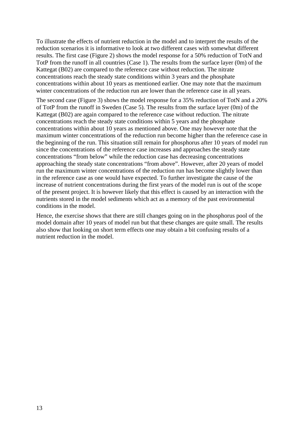To illustrate the effects of nutrient reduction in the model and to interpret the results of the reduction scenarios it is informative to look at two different cases with somewhat different results. The first case (Figure 2) shows the model response for a 50% reduction of TotN and TotP from the runoff in all countries (Case 1). The results from the surface layer (0m) of the Kattegat (B02) are compared to the reference case without reduction. The nitrate concentrations reach the steady state conditions within 3 years and the phosphate concentrations within about 10 years as mentioned earlier. One may note that the maximum winter concentrations of the reduction run are lower than the reference case in all years.

The second case (Figure 3) shows the model response for a 35% reduction of TotN and a 20% of TotP from the runoff in Sweden (Case 5). The results from the surface layer (0m) of the Kattegat (B02) are again compared to the reference case without reduction. The nitrate concentrations reach the steady state conditions within 5 years and the phosphate concentrations within about 10 years as mentioned above. One may however note that the maximum winter concentrations of the reduction run become higher than the reference case in the beginning of the run. This situation still remain for phosphorus after 10 years of model run since the concentrations of the reference case increases and approaches the steady state concentrations "from below" while the reduction case has decreasing concentrations approaching the steady state concentrations "from above". However, after 20 years of model run the maximum winter concentrations of the reduction run has become slightly lower than in the reference case as one would have expected. To further investigate the cause of the increase of nutrient concentrations during the first years of the model run is out of the scope of the present project. It is however likely that this effect is caused by an interaction with the nutrients stored in the model sediments which act as a memory of the past environmental conditions in the model.

Hence, the exercise shows that there are still changes going on in the phosphorus pool of the model domain after 10 years of model run but that these changes are quite small. The results also show that looking on short term effects one may obtain a bit confusing results of a nutrient reduction in the model.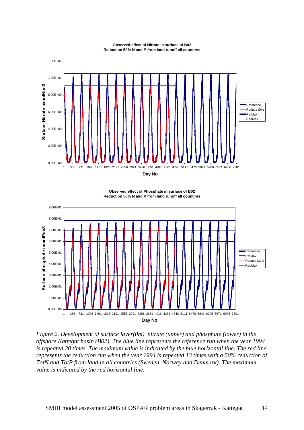

**Observed effect of Nitrate in surface of B02 Reduction 50% N and P from land runoff all countires** 

**Observed effect of Phosphate in surface of B02 Reduction 50% N and P from land runoff all countires**



*Figure 2. Development of surface layer(0m) nitrate (upper) and phosphate (lower) in the offshore Kattegat basin (B02). The blue line represents the reference run when the year 1994 is repeated 20 times. The maximum value is indicated by the blue horizontal line. The red line represents the reduction run when the year 1994 is repeated 13 times with a 50% reduction of TotN and TotP from land in all countries (Sweden, Norway and Denmark). The maximum value is indicated by the red horizontal line.*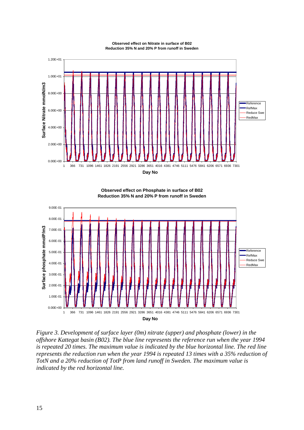

**Observed effect on Nitrate in surface of B02 Reduction 35% N and 20% P from runoff in Sweden** 



**Observed effect on Phosphate in surface of B02 Reduction 35% N and 20% P from runoff in Sweden** 

*Figure 3. Development of surface layer (0m) nitrate (upper) and phosphate (lower) in the offshore Kattegat basin (B02). The blue line represents the reference run when the year 1994 is repeated 20 times. The maximum value is indicated by the blue horizontal line. The red line represents the reduction run when the year 1994 is repeated 13 times with a 35% reduction of TotN and a 20% reduction of TotP from land runoff in Sweden. The maximum value is indicated by the red horizontal line.*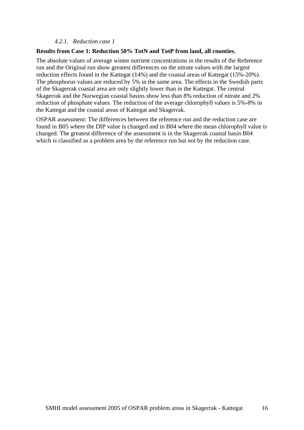#### *4.2.1. Reduction case 1*

#### **Results from Case 1: Reduction 50% TotN and TotP from land, all counties.**

The absolute values of average winter nutrient concentrations in the results of the Reference run and the Original run show greatest differences on the nitrate values with the largest reduction effects found in the Kattegat (14%) and the coastal areas of Kattegat (15%-20%). The phosphorus values are reduced by 5% in the same area. The effects in the Swedish parts of the Skagerrak coastal area are only slightly lower than in the Kattegat. The central Skagerrak and the Norwegian coastal basins show less than 8% reduction of nitrate and 2% reduction of phosphate values. The reduction of the average chlorophyll values is 5%-8% in the Kattegat and the coastal areas of Kattegat and Skagerrak.

OSPAR assessment: The differences between the reference run and the reduction case are found in B05 where the DIP value is changed and in B04 where the mean chlorophyll value is changed. The greatest difference of the assessment is in the Skagerrak coastal basin B04 which is classified as a problem area by the reference run but not by the reduction case.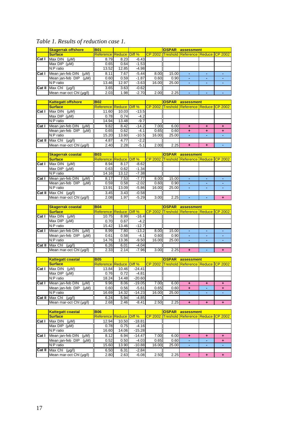## *Table 1. Results of reduction case 1.*

|                    | <b>Skagerrak offshore</b> | <b>B01</b>                     |       |         |       | <b>OSPAR</b> |                                           | assessment |  |  |  |
|--------------------|---------------------------|--------------------------------|-------|---------|-------|--------------|-------------------------------------------|------------|--|--|--|
|                    | <b>Surface</b>            | <b>Reference Reduce Diff %</b> |       |         |       |              | CP 2002 Treshold Reference Reduce CP 2002 |            |  |  |  |
| $\overline{Cat} I$ | Max DIN<br>$(\mu M)$      | 8.79                           | 8.23  | $-6.43$ |       |              |                                           |            |  |  |  |
|                    | Max DIP<br>$(\mu M)$      | 0.65                           | 0.64  | $-1.53$ |       |              |                                           |            |  |  |  |
|                    | N:P ratio                 | 13.52                          | 12.85 | $-4.98$ |       |              |                                           |            |  |  |  |
| Cat <sub>1</sub>   | Mean jan-feb DIN<br>(Mu)  | 8.11                           | 7.67  | $-5.44$ | 8.00  | 15.00        |                                           |            |  |  |  |
|                    | Mean jan-feb DIP<br>(uM)  | 0.60                           | 0.59  | $-1.87$ | 0.60  | 0.90         |                                           | -          |  |  |  |
|                    | N:P ratio                 | 13.46                          | 12.97 | $-3.63$ | 16.00 | 25.00        | ۰.                                        |            |  |  |  |
| $Cat$ II           | Max Chl<br>$(\mu g/l)$    | 3.65                           | 3.63  | $-0.62$ |       |              |                                           |            |  |  |  |
|                    | Mean mar-oct Chl (µq/l)   | 2.03                           | 1.98  | $-2.70$ | 2.00  | 2.25         |                                           |            |  |  |  |

|          | <b>Kattegatt offshore</b> | lB <sub>02</sub>               |       |         |       | <b>OSPAR</b> | assessment                                |   |  |
|----------|---------------------------|--------------------------------|-------|---------|-------|--------------|-------------------------------------------|---|--|
|          | <b>Surface</b>            | <b>Reference Reduce Diff %</b> |       |         |       |              | CP 2002 Treshold Reference Reduce CP 2002 |   |  |
| Cat I    | Max DIN<br>(Mu)           | 11.60                          | 10.03 | $-13.5$ |       |              |                                           |   |  |
|          | Max $DIP$ ( $\mu$ M)      | 0.78                           | 0.74  | $-4.2$  |       |              |                                           |   |  |
|          | N:P ratio                 | 14.94                          | 13.48 | $-9.7$  |       |              |                                           |   |  |
| Cat I    | Mean jan-feb DIN<br>(Mu)  | 9.82                           | 8.42  | $-14.2$ | 7.00  | 6.00         | $\ddot{\phantom{1}}$                      | ٠ |  |
|          | Mean jan-feb DIP<br>(Mu)  | 0.65                           | 0.62  | $-4.1$  | 0.65  | 0.60         | $\ddot{\phantom{1}}$                      | ٠ |  |
|          | N:P ratio                 | 15.20                          | 13.60 | $-10.5$ | 16.00 | 25.00        |                                           |   |  |
| $Cat$ II | Max Chl<br>$(\mu g/l)$    | 4.87                           | 4.77  | $-2.2$  |       |              |                                           |   |  |
|          | Mean mar-oct Chl (µg/l)   | 2.40                           | 2.28  | $-5.1$  | 2.00  | 2.25         | $\ddot{}$                                 | ٠ |  |

|        | <b>Skagerrak coastal</b> | <b>B</b> <sub>03</sub>         |       |         |       | <b>OSPAR</b> | assessment                                         |    |  |
|--------|--------------------------|--------------------------------|-------|---------|-------|--------------|----------------------------------------------------|----|--|
|        | <b>Surface</b>           | <b>Reference Reduce Diff %</b> |       |         |       |              | <b>ICP 2002 Treshold Reference Reduce ICP 2002</b> |    |  |
| Cat I  | Max DIN<br>(Mu)          | 8.94                           | 8.17  | $-8.62$ |       |              |                                                    |    |  |
|        | Max $DIP$ ( $\mu$ M)     | 0.63                           | 0.62  | $-1.34$ |       |              |                                                    |    |  |
|        | N:P ratio                | 14.16                          | 13.12 | $-7.38$ |       |              |                                                    |    |  |
| Cat I  | Mean jan-feb DIN<br>(Mu) | 8.17                           | 7.53  | $-7.77$ | 8.00  | 15.00        |                                                    |    |  |
|        | Mean jan-feb DIP<br>(Mu) | 0.59                           | 0.58  | $-2.02$ | 0.60  | 0.90         | ۰                                                  | ۰  |  |
|        | N:P ratio                | 13.91                          | 13.09 | $-5.86$ | 16.00 | 25.00        | <b>.</b>                                           | ۰. |  |
| Cat II | Max Chl<br>$(\mu g/l)$   | 3.45                           | 3.43  | $-0.58$ |       |              |                                                    |    |  |
|        | Mean mar-oct Chl (µg/l)  | 2.08                           | 1.97  | $-5.29$ | 3.00  | 2.25         |                                                    |    |  |

|        | <b>Skagerrak coastal</b>           | <b>B04</b>                     |       |         |       | <b>OSPAR</b> | assessment                                         |    |  |
|--------|------------------------------------|--------------------------------|-------|---------|-------|--------------|----------------------------------------------------|----|--|
|        | <b>Surface</b>                     | <b>Reference Reduce Diff %</b> |       |         |       |              | <b>ICP 2002 Treshold Reference Reduce ICP 2002</b> |    |  |
| Cat I  | Max DIN<br>(Mu)                    | 10.75                          | 8.99  | $-16.4$ |       |              |                                                    |    |  |
|        | Max $DIP$ ( $\mu$ M)               | 0.70                           | 0.67  | $-4.2$  |       |              |                                                    |    |  |
|        | N:P ratio                          | 15.42                          | 13.46 | $-12.7$ |       |              |                                                    |    |  |
| Cat I  | Mean jan-feb DIN<br>(Mu)           | 8.99                           | 7.80  | $-13.2$ | 8.00  | 15.00        |                                                    |    |  |
|        | Mean jan-feb DIP<br>(Mu)           | 0.61                           | 0.58  | $-4.1$  | 0.60  | 0.90         |                                                    |    |  |
|        | N:P ratio                          | 14.76                          | 13.36 | $-9.50$ | 16.00 | 25.00        | ۰.                                                 | ۰. |  |
| Cat II | $\overline{\text{Max}}$ Chi (µg/l) | 6.26                           | 6.01  | $-4.04$ |       |              |                                                    |    |  |
|        | Mean mar-oct Chl (µq/l)            | 2.33                           | 2.14  | $-7.96$ | 3.00  | 2.25         |                                                    |    |  |

|                         | <b>Kattegatt coastal</b>      | <b>B</b> <sub>05</sub>         |       |          |       | <b>OSPAR</b> | assessment                                |  |   |  |
|-------------------------|-------------------------------|--------------------------------|-------|----------|-------|--------------|-------------------------------------------|--|---|--|
|                         | <b>Surface</b>                | <b>Reference Reduce Diff %</b> |       |          |       |              | CP 2002 Treshold Reference Reduce CP 2002 |  |   |  |
| $\overline{\text{Cat}}$ | Max DIN<br>(Mu)               | 13.84                          | 10.46 | $-24.41$ |       |              |                                           |  |   |  |
|                         | Max $DIP$ ( $\mu$ M)          | 0.76                           | 0.72  | $-4.81$  |       |              |                                           |  |   |  |
|                         | N:P ratio                     | 18.24                          | 14.48 | $-20.60$ |       |              |                                           |  |   |  |
| Cat <sub>I</sub>        | Mean jan-feb DIN<br>(uM)      | 9.96                           | 8.06  | $-19.05$ | 7.00  | 6.00         | ٠                                         |  |   |  |
|                         | Mean jan-feb DIP<br>(Mu)      | 0.60                           | 0.56  | $-5.61$  | 0.65  | 0.60         | ٠                                         |  | ٠ |  |
|                         | N:Pr <sub>0</sub>             | 16.69                          | 14.32 | $-14.23$ | 16.00 | 25.00        | ۰                                         |  |   |  |
|                         | Cat II Max Chl<br>$(\mu g/I)$ | 6.24                           | 5.94  | $-4.85$  |       |              |                                           |  |   |  |
|                         | Mean mar-oct Chl (µg/l)       | 2.68                           | 2.46  | $-8.41$  | 2.50  | 2.25         | ٠                                         |  |   |  |

|        | <b>Kattegatt coastal</b> | <b>BO6</b>                     |       |          |       | <b>OSPAR</b> | assessment                                           |  |  |  |  |
|--------|--------------------------|--------------------------------|-------|----------|-------|--------------|------------------------------------------------------|--|--|--|--|
|        | <b>Surface</b>           | <b>Reference Reduce Diff %</b> |       |          |       |              | <u>ICP 2002 ITreshold Reference Reduce ICP 2002.</u> |  |  |  |  |
| Cat I  | Max DIN<br>(uM)          | 12.94                          | 10.50 | $-18.81$ |       |              |                                                      |  |  |  |  |
|        | Max $DIP$ ( $\mu$ M)     | 0.78                           | 0.75  | $-4.16$  |       |              |                                                      |  |  |  |  |
|        | N:P ratio                | 16.60                          | 14.06 | $-15.28$ |       |              |                                                      |  |  |  |  |
| Cat I  | Mean jan-feb DIN<br>(Mu) | 8.12                           | 6.94  | $-14.47$ | 7.00  | 6.00         | ٠                                                    |  |  |  |  |
|        | Mean jan-feb DIP<br>(Mu) | 0.52                           | 0.50  | $-4.03$  | 0.65  | 0.60         |                                                      |  |  |  |  |
|        | N:P ratio                | 15.60                          | 13.90 | $-10.88$ | 16.00 | 25.00        | ۰                                                    |  |  |  |  |
| Cat II | Max Chl<br>$(\mu g/l)$   | 6.50                           | 6.31  | $-2.84$  |       |              |                                                      |  |  |  |  |
|        | Mean mar-oct Chl (µg/l)  | 2.80                           | 2.63  | $-6.08$  | 2.50  | 2.25         |                                                      |  |  |  |  |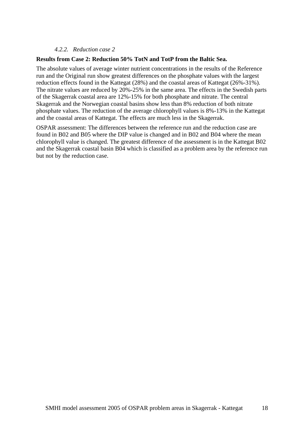#### *4.2.2. Reduction case 2*

#### **Results from Case 2: Reduction 50% TotN and TotP from the Baltic Sea.**

The absolute values of average winter nutrient concentrations in the results of the Reference run and the Original run show greatest differences on the phosphate values with the largest reduction effects found in the Kattegat (28%) and the coastal areas of Kattegat (26%-31%). The nitrate values are reduced by 20%-25% in the same area. The effects in the Swedish parts of the Skagerrak coastal area are 12%-15% for both phosphate and nitrate. The central Skagerrak and the Norwegian coastal basins show less than 8% reduction of both nitrate phosphate values. The reduction of the average chlorophyll values is 8%-13% in the Kattegat and the coastal areas of Kattegat. The effects are much less in the Skagerrak.

OSPAR assessment: The differences between the reference run and the reduction case are found in B02 and B05 where the DIP value is changed and in B02 and B04 where the mean chlorophyll value is changed. The greatest difference of the assessment is in the Kattegat B02 and the Skagerrak coastal basin B04 which is classified as a problem area by the reference run but not by the reduction case.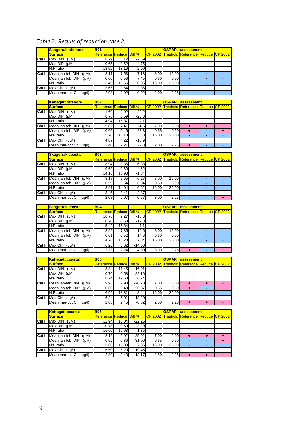## *Table 2. Results of reduction case 2.*

|               | <b>Skagerrak offshore</b>            | <b>B01</b>                      |       |         |       | <b>OSPAR</b> | assessment                                |   |  |
|---------------|--------------------------------------|---------------------------------|-------|---------|-------|--------------|-------------------------------------------|---|--|
|               | <b>Surface</b>                       | <b>IReference Reduce Diff %</b> |       |         |       |              | CP 2002 Treshold Reference Reduce CP 2002 |   |  |
| <b>ICat I</b> | Max DIN<br>$(\mu M)$                 | 8.79                            | 8.12  | $-7.59$ |       |              |                                           |   |  |
|               | Max DIP (µM)                         | 0.65                            | 0.62  | $-4.75$ |       |              |                                           |   |  |
|               | N:P ratio                            | 13.52                           | 13.16 | $-2.99$ |       |              |                                           |   |  |
| Cat           | Mean jan-feb DIN<br>(Mu)             | 8.11                            | 7.53  | $-7.13$ | 8.00  | 15.00        |                                           |   |  |
|               | Mean jan-feb DIP<br>(Mu)             | 0.60                            | 0.56  | $-7.45$ | 0.60  | 0.90         | ۰.                                        | ۰ |  |
|               | N:P ratio                            | 13.46                           | 13.55 | 0.35    | 16.00 | 25.00        | ۰.                                        | ۰ |  |
|               | <b>Cat II</b> Max Chl<br>$(\mu q/l)$ | 3.65                            | 3.54  | $-2.86$ |       |              |                                           |   |  |
|               | Mean mar-oct Chl (µg/l)              | 2.03                            | 2.02  | $-0.92$ | 2.00  | 2.25         |                                           | ь |  |

|        | <b>Kattegatt offshore</b>     | <b>B02</b>                     |       |         |       | <b>OSPAR</b><br>assessment |                                                     |   |   |  |
|--------|-------------------------------|--------------------------------|-------|---------|-------|----------------------------|-----------------------------------------------------|---|---|--|
|        | <b>Surface</b>                | <b>Reference Reduce Diff %</b> |       |         |       |                            | <u>ICP 2002 ITreshold Reference Reduce ICP 2002</u> |   |   |  |
| Cat I  | Max DIN<br>(Mu)               | 11.60                          | 9.02  | $-22.2$ |       |                            |                                                     |   |   |  |
|        | Max $DIP$ ( $\mu$ M)          | 0.78                           | 0.59  | $-23.8$ |       |                            |                                                     |   |   |  |
|        | N:P ratio                     | 14.94                          | 15.37 | 2.1     |       |                            |                                                     |   |   |  |
| Cat I  | Mean jan-feb DIN<br>(Mu)      | 9.82                           | 7.41  | $-24.5$ | 7.00  | 6.00                       | $\ddot{}$                                           | ÷ | ٠ |  |
|        | Mean jan-feb DIP<br>$(\mu M)$ | 0.65                           | 0.46  | $-28.3$ | 0.65  | 0.60                       | $\ddot{}$                                           |   |   |  |
|        | N:P ratio                     | 15.20                          | 16.13 | 5.3     | 16.00 | 25.00                      |                                                     |   |   |  |
| Cat II | Max Chl<br>$(\mu g/l)$        | 4.87                           | 4.22  | $-13.9$ |       |                            |                                                     |   |   |  |
|        | Mean mar-oct Chl (µq/l)       | 2.40                           | 2.21  | $-7.8$  | 2.00  | 2.25                       | ٠                                                   |   |   |  |

|                         | <b>Skagerrak coastal</b> | <b>B03</b>                     |       |         |       | <b>OSPAR</b> | assessment                                          |  |
|-------------------------|--------------------------|--------------------------------|-------|---------|-------|--------------|-----------------------------------------------------|--|
|                         | <b>Surface</b>           | <b>Reference Reduce Diff %</b> |       |         |       |              | <u>ICP 2002 ITreshold Reference Reduce ICP 2002</u> |  |
| $\overline{\text{Cat}}$ | Max DIN<br>(MM)          | 8.94                           | 8.36  | $-6.38$ |       |              |                                                     |  |
|                         | Max DIP (µM)             | 0.63                           | 0.60  | $-4.62$ |       |              |                                                     |  |
|                         | N:P ratio                | 14.16                          | 13.93 | $-1.84$ |       |              |                                                     |  |
| Cat I                   | Mean jan-feb DIN<br>(Mu) | 8.17                           | 7.65  | $-6.27$ | 8.00  | 15.00        |                                                     |  |
|                         | Mean jan-feb DIP<br>(Mu) | 0.59                           | 0.54  | $-6.84$ | 0.60  | 0.90         | ۰.                                                  |  |
|                         | N:P ratio                | 13.91                          | 14.04 | 0.62    | 16.00 | 25.00        | $\overline{\phantom{a}}$                            |  |
| Cat II                  | Max Chl<br>$(\mu g/l)$   | 3.45                           | 3.41  | $-2.87$ |       |              |                                                     |  |
|                         | Mean mar-oct Chl (µq/l)  | 2.08                           | 2.07  | $-0.67$ | 3.00  | 2.25         | ۰.                                                  |  |

|        | <b>Skagerrak coastal</b> | <b>B04</b>                      |       |          |       | <b>OSPAR</b> | assessment                                        |  |
|--------|--------------------------|---------------------------------|-------|----------|-------|--------------|---------------------------------------------------|--|
|        | <b>Surface</b>           | <b>IReference Reduce Diff</b> % |       |          |       |              | <b>ICP 2002 Treshold Reference Reduce CP 2002</b> |  |
| Cat I  | Max DIN<br>(Mu)          | 10.75                           | 9.27  | $-13.3$  |       |              |                                                   |  |
|        | Max DIP (µM)             | 0.70                            | 0.60  | $-12.3$  |       |              |                                                   |  |
|        | N:P ratio                | 15.42                           | 15.34 | $-1.1$   |       |              |                                                   |  |
| Cat I  | Mean jan-feb DIN<br>(Mu) | 8.99                            | 7.85  | $-12.6$  | 8.00  | 15.00        |                                                   |  |
|        | Mean jan-feb DIP<br>(Mu) | 0.61                            | 0.52  | $-14.6$  | 0.60  | 0.90         |                                                   |  |
|        | N:P ratio                | 14.76                           | 15.23 | 2.34     | 16.00 | 25.00        | ۰                                                 |  |
| Cat II | Max Chl<br>$(\mu g/l)$   | 6.26                            | 5.32  | $-14.60$ |       |              |                                                   |  |
|        | Mean mar-oct Chl (µg/l)  | 2.33                            | 2.24  | $-4.00$  | 3.00  | 2.25         |                                                   |  |

|                         | Kattegatt coastal        | <b>B05</b>                     |       |          |       | <b>OSPAR</b> | assessment                                |   |   |
|-------------------------|--------------------------|--------------------------------|-------|----------|-------|--------------|-------------------------------------------|---|---|
|                         | <b>Surface</b>           | <b>Reference Reduce Diff %</b> |       |          |       |              | CP 2002 Treshold Reference Reduce CP 2002 |   |   |
| $\overline{\text{Cat}}$ | Max DIN<br>(Mu)          | 13.84                          | 11.45 | $-16.91$ |       |              |                                           |   |   |
|                         | Max DIP (µM)             | 0.76                           | 0.58  | $-22.16$ |       |              |                                           |   |   |
|                         | N:P ratio                | 18.24                          | 19.58 | 6.74     |       |              |                                           |   |   |
| Cat I                   | Mean jan-feb DIN<br>(uM) | 9.96                           | 7.90  | $-20.70$ | 7.00  | 6.00         | ٠                                         | ÷ |   |
|                         | Mean jan-feb DIP<br>(Mu) | 0.60                           | 0.43  | $-26.87$ | 0.65  | 0.60         | $\ddot{}$                                 |   | ÷ |
|                         | IN:P ratio               | 16.69                          | 18.31 | 8.44     | 16.00 | 25.00        | -                                         | - |   |
| Cat II                  | Max Chl<br>$(\mu g/l)$   | 6.24                           | 5.01  | $-18.20$ |       |              |                                           |   |   |
|                         | Mean mar-oct Chl (µq/l)  | 2.68                           | 2.45  | $-8.82$  | 2.50  | 2.25         |                                           |   |   |

|        | <b>Kattegatt coastal</b> | <b>B06</b>                     |       |          |       | <b>OSPAR</b> | assessment                                              |   |   |
|--------|--------------------------|--------------------------------|-------|----------|-------|--------------|---------------------------------------------------------|---|---|
|        | <b>Surface</b>           | <b>Reference Reduce Diff %</b> |       |          |       |              | <u>ICP 2002 ITreshold IReference IReduce ICP 2002 I</u> |   |   |
| Cat I  | Max DIN<br>(uM)          | 12.94                          | 10.04 | $-22.25$ |       |              |                                                         |   |   |
|        | $Max$ DIP $(\mu M)$      | 0.78                           | 0.59  | $-23.29$ |       |              |                                                         |   |   |
|        | N:P ratio                | 16.60                          | 16.93 | 1.35     |       |              |                                                         |   |   |
| Cat I  | Mean jan-feb DIN<br>(Mu) | 8.12                           | 6.02  | $-25.92$ | 7.00  | 6.00         | ٠                                                       | ÷ | ۰ |
|        | Mean jan-feb DIP<br>(Mu) | 0.52                           | 0.36  | $-31.00$ | 0.65  | 0.60         | ۰.                                                      |   | ۰ |
|        | N:P ratio                | 15.60                          | 16.88 | 7.36     | 16.00 | 25.00        | $\overline{\phantom{a}}$                                |   |   |
| Cat II | Max Chl<br>$(\mu q/l)$   | 6.50                           | 5.20  | $-19.46$ |       |              |                                                         |   |   |
|        | Mean mar-oct Chl (µq/l)  | 2.80                           | 2.43  | $-13.17$ | 2.50  | 2.25         | ٠                                                       |   |   |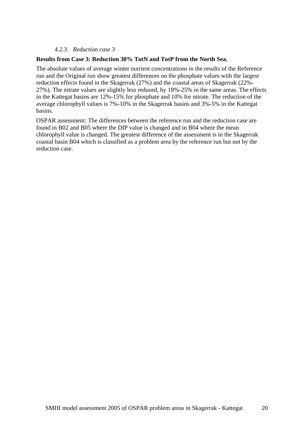#### *4.2.3. Reduction case 3*

#### **Results from Case 3: Reduction 30% TotN and TotP from the North Sea.**

The absolute values of average winter nutrient concentrations in the results of the Reference run and the Original run show greatest differences on the phosphate values with the largest reduction effects found in the Skagerrak (27%) and the coastal areas of Skagerrak (22%- 27%). The nitrate values are slightly less reduced, by 18%-25% in the same areas. The effects in the Kattegat basins are 12%-15% for phosphate and 10% for nitrate. The reduction of the average chlorophyll values is 7%-10% in the Skagerrak basins and 3%-5% in the Kattegat basins.

OSPAR assessment: The differences between the reference run and the reduction case are found in B02 and B05 where the DIP value is changed and in B04 where the mean chlorophyll value is changed. The greatest difference of the assessment is in the Skagerrak coastal basin B04 which is classified as a problem area by the reference run but not by the reduction case.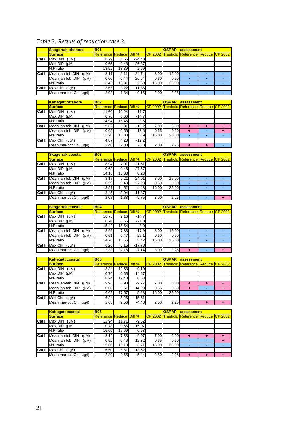### *Table 3. Results of reduction case 3.*

|               | <b>Skagerrak offshore</b>                | <b>B</b> 01                     |       |          |       | <b>OSPAR</b> | assessment                                       |   |  |
|---------------|------------------------------------------|---------------------------------|-------|----------|-------|--------------|--------------------------------------------------|---|--|
|               | <b>Surface</b>                           | <b>IReference Reduce Diff %</b> |       |          |       |              | <b>CP 2002 Treshold Reference Reduce CP 2002</b> |   |  |
| <b>ICat I</b> | Max DIN<br>$(\mu M)$                     | 8.79                            | 6.65  | $-24.40$ |       |              |                                                  |   |  |
|               | Max DIP (µM)                             | 0.65                            | 0.48  | $-26.37$ |       |              |                                                  |   |  |
|               | N:P ratio                                | 13.52                           | 13.89 | 2.69     |       |              |                                                  |   |  |
| Cat           | Mean jan-feb DIN<br>(Mu)                 | 8.11                            | 6.11  | $-24.74$ | 8.00  | 15.00        |                                                  |   |  |
|               | Mean jan-feb DIP<br>(Mu)                 | 0.60                            | 0.44  | $-26.64$ | 0.60  | 0.90         | ۰.                                               | ۰ |  |
|               | N:P ratio                                | 13.46                           | 13.81 | 2.60     | 16.00 | 25.00        | ۰.                                               | ۰ |  |
|               | $\overline{Cat II}$ Max Chi ( $\mu$ g/l) | 3.65                            | 3.22  | $-11.85$ |       |              |                                                  |   |  |
|               | Mean mar-oct Chl (µg/l)                  | 2.03                            | 1.84  | $-9.16$  | 2.00  | 2.25         |                                                  | ь |  |

|        | <b>Kattegatt offshore</b> | <b>B</b> 02                     |       |         |       | <b>OSPAR</b> | assessment                                            |   |  |
|--------|---------------------------|---------------------------------|-------|---------|-------|--------------|-------------------------------------------------------|---|--|
|        | <b>Surface</b>            | <b>IReference Reduce Diff</b> % |       |         |       |              | <u>ICP 2002 ITreshold IReference IReduce ICP 2002</u> |   |  |
| Cat I  | Max DIN<br>(Mu)           | 11.60                           | 10.24 | $-11.7$ |       |              |                                                       |   |  |
|        | Max $DIP$ ( $\mu$ M)      | 0.78                            | 0.66  | $-14.7$ |       |              |                                                       |   |  |
|        | N:P ratio                 | 14.94                           | 15.46 | 3.5     |       |              |                                                       |   |  |
| Cat I  | Mean jan-feb DIN<br>(Mu)  | 9.82                            | 8.81  | $-10.2$ | 7.00  | 6.00         | $\ddot{}$                                             | ٠ |  |
|        | Mean jan-feb DIP<br>(Mu)  | 0.65                            | 0.56  | $-13.6$ | 0.65  | 0.60         | ٠                                                     |   |  |
|        | N:P ratio                 | 15.20                           | 15.80 | 3.9     | 16.00 | 25.00        | $\overline{\phantom{a}}$                              | ۰ |  |
| Cat II | Max Chl<br>$(\mu g/l)$    | 4.87                            | 4.28  | $-12.2$ |       |              |                                                       |   |  |
|        | Mean mar-oct Chl (µq/l)   | 2.40                            | 2.33  | $-3.0$  | 2.00  | 2.25         |                                                       |   |  |

|        | <b>Skagerrak coastal</b> | <b>B03</b>                     |       |          |       | <b>OSPAR</b> | assessment                                          |  |
|--------|--------------------------|--------------------------------|-------|----------|-------|--------------|-----------------------------------------------------|--|
|        | <b>Surface</b>           | <b>Reference Reduce Diff %</b> |       |          |       |              | <u>ICP 2002 ITreshold Reference Reduce ICP 2002</u> |  |
| Cat I  | Max DIN<br>(uM)          | 8.94                           | 7.01  | $-21.61$ |       |              |                                                     |  |
|        | Max $DIP$ ( $\mu$ M)     | 0.63                           | 0.46  | $-27.57$ |       |              |                                                     |  |
|        | N:P ratio                | 14.16                          | 15.33 | 8.23     |       |              |                                                     |  |
| Cat I  | Mean jan-feb DIN<br>(Mu) | 8.17                           | 6.21  | $-24.01$ | 8.00  | 15.00        |                                                     |  |
|        | Mean jan-feb DIP<br>(Mu) | 0.59                           | 0.43  | $-27.23$ | 0.60  | 0.90         | ۰.                                                  |  |
|        | N:P ratio                | 13.91                          | 14.52 | 4.43     | 16.00 | 25.00        | ۰.                                                  |  |
| Cat II | Max Chl<br>$(\mu g/l)$   | 3.45                           | 3.04  | $-11.87$ |       |              |                                                     |  |
|        | Mean mar-oct Chl (µg/l)  | 2.08                           | 1.88  | $-9.75$  | 3.00  | 2.25         | ۰.                                                  |  |

|          | <b>Skagerrak coastal</b>           | <b>B04</b>                     |       |          |       | <b>OSPAR</b> | assessment                                          |    |  |
|----------|------------------------------------|--------------------------------|-------|----------|-------|--------------|-----------------------------------------------------|----|--|
|          | <b>Surface</b>                     | <b>Reference Reduce Diff %</b> |       |          |       |              | <u>ICP 2002 ITreshold Reference Reduce ICP 2002</u> |    |  |
| Cat I    | Max DIN<br>(Mu)                    | 10.75                          | 9.16  | $-14.7$  |       |              |                                                     |    |  |
|          | Max $DIP$ ( $\mu$ M)               | 0.70                           | 0.55  | $-21.0$  |       |              |                                                     |    |  |
|          | N:P ratio                          | 15.42                          | 16.64 | 8.0      |       |              |                                                     |    |  |
| Cat I    | Mean jan-feb DIN<br>(Mu)           | 8.99                           | 7.38  | $-17.9$  | 8.00  | 15.00        |                                                     |    |  |
|          | Mean jan-feb DIP<br>(Mu)           | 0.61                           | 0.47  | $-22.1$  | 0.60  | 0.90         | ۰.                                                  |    |  |
|          | N:P ratio                          | 14.76                          | 15.56 | 5.42     | 16.00 | 25.00        | ۰                                                   | ۰. |  |
| $Cat$ II | $\overline{\text{Max}}$ Chi (µg/l) | 6.26                           | 5.15  | $-17.73$ |       |              |                                                     |    |  |
|          | Mean mar-oct Chl (µq/l)            | 2.33                           | 2.16  | $-7.14$  | 3.00  | 2.25         |                                                     |    |  |

|              | <b>Kattegatt coastal</b> | <b>B05</b>                     |       |          |       | <b>OSPAR</b> | assessment                                             |   |   |
|--------------|--------------------------|--------------------------------|-------|----------|-------|--------------|--------------------------------------------------------|---|---|
|              | <b>Surface</b>           | <b>Reference Reduce Diff %</b> |       |          |       |              | <u>ICP 2002 ITreshold Reference IReduce ICP 2002 I</u> |   |   |
| <b>Cat I</b> | Max DIN<br>(uM)          | 13.84                          | 12.58 | $-9.10$  |       |              |                                                        |   |   |
|              | Max DIP<br>(uM)          | 0.76                           | 0.65  | $-14.67$ |       |              |                                                        |   |   |
|              | N:P ratio                | 18.24                          | 19.43 | 6.53     |       |              |                                                        |   |   |
| Cat I        | Mean jan-feb DIN<br>(Mu) | 9.96                           | 8.98  | $-9.77$  | 7.00  | 6.00         | ٠                                                      | ÷ |   |
|              | Mean jan-feb DIP<br>(Mu) | 0.60                           | 0.51  | $-14.29$ | 0.65  | 0.60         | ٠                                                      |   | ÷ |
|              | IN:P ratio               | 16.69                          | 17.57 | 5.28     | 16.00 | 25.00        | -                                                      |   |   |
| $Cat$ II     | Max Chl<br>$(\mu g/l)$   | 6.24                           | 5.26  | $-15.61$ |       |              |                                                        |   |   |
|              | Mean mar-oct Chl (µq/l)  | 2.68                           | 2.56  | $-4.48$  | 2.50  | 2.25         | ٠                                                      | ÷ |   |

|        | <b>Kattegatt coastal</b> | <b>B06</b>                     |       |          |       | <b>OSPAR</b> | assessment                                          |   |
|--------|--------------------------|--------------------------------|-------|----------|-------|--------------|-----------------------------------------------------|---|
|        | <b>Surface</b>           | <b>Reference Reduce Diff %</b> |       |          |       |              | <u>ICP 2002 ITreshold Reference Reduce ICP 2002</u> |   |
| Cat I  | Max DIN<br>(uM)          | 12.94                          | 11.71 | $-9.52$  |       |              |                                                     |   |
|        | Max $DIP$ ( $\mu$ M)     | 0.78                           | 0.66  | $-15.07$ |       |              |                                                     |   |
|        | N:P ratio                | 16.60                          | 17.69 | 6.53     |       |              |                                                     |   |
| Cat I  | Mean jan-feb DIN<br>(Mu) | 8.12                           | 7.38  | $-9.07$  | 7.00  | 6.00         | $\ddot{}$                                           | ٠ |
|        | Mean jan-feb DIP<br>(Mu) | 0.52                           | 0.46  | $-12.32$ | 0.65  | 0.60         | ۰                                                   |   |
|        | N:P ratio                | 15.60                          | 16.18 | 3.71     | 16.00 | 25.00        | ۰                                                   |   |
| Cat II | Max Chl<br>$(\mu g/l)$   | 6.50                           | 5.61  | $-13.62$ |       |              |                                                     |   |
|        | Mean mar-oct Chl (µq/l)  | 2.80                           | 2.65  | $-5.44$  | 2.50  | 2.25         |                                                     |   |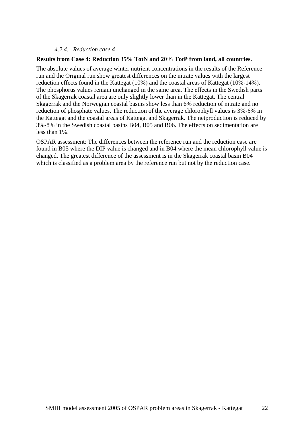#### *4.2.4. Reduction case 4*

#### **Results from Case 4: Reduction 35% TotN and 20% TotP from land, all countries.**

The absolute values of average winter nutrient concentrations in the results of the Reference run and the Original run show greatest differences on the nitrate values with the largest reduction effects found in the Kattegat (10%) and the coastal areas of Kattegat (10%-14%). The phosphorus values remain unchanged in the same area. The effects in the Swedish parts of the Skagerrak coastal area are only slightly lower than in the Kattegat. The central Skagerrak and the Norwegian coastal basins show less than 6% reduction of nitrate and no reduction of phosphate values. The reduction of the average chlorophyll values is 3%-6% in the Kattegat and the coastal areas of Kattegat and Skagerrak. The netproduction is reduced by 3%-8% in the Swedish coastal basins B04, B05 and B06. The effects on sedimentation are less than 1%.

OSPAR assessment: The differences between the reference run and the reduction case are found in B05 where the DIP value is changed and in B04 where the mean chlorophyll value is changed. The greatest difference of the assessment is in the Skagerrak coastal basin B04 which is classified as a problem area by the reference run but not by the reduction case.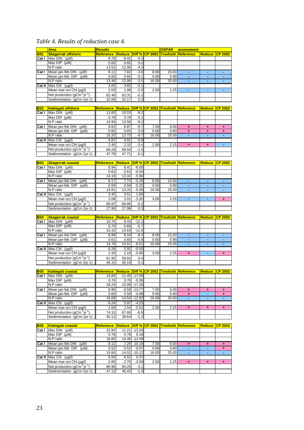# *Table 4. Results of reduction case 4.*

|            | <b>Area</b>                                                                       | <b>Results</b>                                     |                      |                   |                       | OSPAR                   | assessment                               |                 |                       |
|------------|-----------------------------------------------------------------------------------|----------------------------------------------------|----------------------|-------------------|-----------------------|-------------------------|------------------------------------------|-----------------|-----------------------|
| <b>B01</b> | <b>Skagerrak offshore</b>                                                         | Reference                                          | <b>Reduce</b>        |                   | <b>Diff % CP 2002</b> | <b>Treshold</b>         | <u> Reference</u>                        | <b>Reduce</b>   | $CP$ 2002             |
| Cat I      | Max $DIN$ ( $\mu M$ )                                                             | 8.79                                               | 8.41                 | $-4.3$            |                       |                         |                                          |                 |                       |
|            | Max DIP (uM)                                                                      | 0.65                                               | 0.65                 | 0.0               |                       |                         |                                          |                 |                       |
|            | N:P ratio                                                                         | 13.52                                              | 12.95                | $-4.3$            |                       |                         |                                          |                 |                       |
| Cat I      | Mean jan-feb DIN<br>$(\mu M)$                                                     | 8.11                                               | 7.82                 | $-3.6$            | 8.00                  | 15.00                   | $\blacksquare$                           | Ξ               | $\blacksquare$        |
|            | Mean jan-feb DIP (µM)                                                             | 0.60                                               | 0.60                 | $-0.1$            | 0.60                  | 0.90                    | ٠                                        | ٠               | ٠                     |
|            | N:P ratio                                                                         | 13.46                                              | 12.99                | $-3.5$            | 16.00                 | 25.00                   | ÷                                        | $\blacksquare$  | $\blacksquare$        |
| Cat II     | Max Chl (µg/l)                                                                    | 3.65                                               | 3.65                 | $-0.1$            |                       |                         |                                          |                 |                       |
|            | Mean mar-oct Chl (µg/l)                                                           | 2.03                                               | 1.99                 | $-2.0$            | 2.00                  | 2.25                    | ä,                                       | ä,              | Ξ                     |
|            | Net production $(gCm^2yr^{-1})$                                                   | 62.46                                              | 62.31                | $-0.2$            |                       |                         |                                          |                 |                       |
|            | Sedimentation (gCm-2yr-1)                                                         | 32.06                                              | 32.17                | 0.3               |                       |                         |                                          |                 |                       |
|            |                                                                                   |                                                    |                      |                   |                       |                         |                                          |                 |                       |
| <b>B02</b> | <b>Kattegatt offshore</b>                                                         | <u>Reference</u>                                   | <b>Reduce</b>        |                   |                       | Diff % CP 2002 Treshold | Reference                                | <b>Reduce</b>   | $CP$ 2002             |
| Cat I      | Max $DIN$ ( $\mu M$ )<br>Max DIP (uM)                                             | 11.60                                              | 10.53                | $-9.2$            |                       |                         |                                          |                 |                       |
|            | N:P ratio                                                                         | 0.78<br>14.94                                      | 0.78                 | 0.1<br>$-9.2$     |                       |                         |                                          |                 |                       |
|            |                                                                                   |                                                    | 13.56                |                   | 7.00                  |                         |                                          |                 |                       |
| Cat I      | Mean jan-feb $DIN$ ( $\mu M$ )<br>Mean jan-feb DIP<br>(µM)                        | 9.82<br>0.65                                       | 8.87<br>0.65         | $-9.7$<br>0.0     | 0.65                  | 6.00<br>0.60            | ٠<br>$\ddot{}$                           | ٠               | ٠                     |
|            | N:P ratio                                                                         | 15.20                                              | 13.73                | $-9.7$            | 16.00                 | 25.00                   | ä,                                       | ÷               | ٠                     |
| Cat II     | Max Chl (µg/l)                                                                    | 4.87                                               | 4.91                 | 0.8               |                       |                         |                                          |                 |                       |
|            | Mean mar-oct ChI (µg/l)                                                           | 2.40                                               | 2.32                 | $-3.4$            | 2.00                  | 2.25                    | $\ddot{}$                                | $\ddot{}$       | ÷                     |
|            | Net production $(gCm^2yr^{-1})$                                                   | 69.28                                              | 68.58                | $-1.0$            |                       |                         |                                          |                 |                       |
|            | Sedimentation (gCm-2yr-1)                                                         | 47.78                                              | 47.71                | $-0.1$            |                       |                         |                                          |                 |                       |
|            |                                                                                   |                                                    |                      |                   |                       |                         |                                          |                 |                       |
| <b>B03</b> | <b>Skagerrak coastal</b>                                                          | <u>Reference</u>                                   | <b>Reduce Diff %</b> |                   | $\overline{CP}$ 2002  | <b>Treshold</b>         | Reference                                | <b>Reduce</b>   | <b>CP 2002</b>        |
| Cat I      | Max $DIN$ ( $\mu M$ )                                                             | 8.94                                               | 8.41                 | $-6.00$           |                       |                         |                                          |                 |                       |
|            | Max $DIP$ ( $\mu$ M)                                                              | 0.63                                               | 0.63                 | $-0.04$           |                       |                         |                                          |                 |                       |
|            | N:P ratio                                                                         | 14.16                                              | 13.32                | $-5.96$           |                       |                         |                                          |                 |                       |
| Cat I      | Mean jan-feb DIN (µM)                                                             | 8.17                                               | 7.74                 | $-5.29$           | 8.00                  | 15.00                   | ٠                                        |                 |                       |
|            | Mean jan-feb DIP (µM)                                                             | 0.59                                               | 0.59                 | $-0.25$           | 0.60                  | 0.90                    | ÷                                        | $\sim$          | $\sim$                |
|            | N:P ratio                                                                         | 13.91                                              | 13.20                | $-5.06$           | 16.00                 | 25.00                   |                                          |                 |                       |
| Cat II     | Max Chl $(\mu g/l)$                                                               | 3.45                                               | 3.51                 | 1.85              |                       |                         |                                          |                 |                       |
|            | Mean mar-oct Chl (µg/l)                                                           | 2.08                                               | 2.01                 | $-3.30$           | 3.00                  | 2.25                    | ÷,                                       | ٠               | ٠                     |
|            | Net production ( $gCm-2yr-1$ )                                                    | 66.97                                              | 66.86                | $-0.2$            |                       |                         |                                          |                 |                       |
|            | Sedimentation (gCm-2yr-1)                                                         | 27.90                                              | 27.98                | 0.3               |                       |                         |                                          |                 |                       |
|            |                                                                                   |                                                    |                      |                   |                       |                         |                                          |                 |                       |
| <b>B04</b> | <b>Skagerrak coastal</b>                                                          | <u>Reference</u>                                   |                      |                   |                       |                         | Reduce Diff % CP 2002 Treshold Reference | <b>Reduce</b>   | $\overline{CP}$ 2002  |
| Cat I      | Max $DIN$ ( $\mu M$ )                                                             | 10.75                                              | 9.43                 | $-12.2$           |                       |                         |                                          |                 |                       |
|            | $\overline{\text{Max DIP}}$ (µM)                                                  | 0.70                                               | 0.69                 | $-0.7$            |                       |                         |                                          |                 |                       |
|            | N:P ratio                                                                         | 15.42                                              | 13.63                | $-11.6$           |                       |                         | ÷                                        | ÷               |                       |
| Cat I      | Mean jan-feb DIN<br>(µM)                                                          | 8.99                                               | 8.16                 | $-9.2$            | 8.00                  | 15.00                   | ÷,                                       | ٠               | ÷<br>٠                |
|            | Mean jan-feb DIP<br>$(\mu M)$<br>N:P ratio                                        | 0.61<br>14.76                                      | 0.60<br>13.51        | $-0.8$<br>$-8.51$ | 0.60<br>16.00         | 0.90<br>25.00           | ÷.                                       | $\blacksquare$  | $\blacksquare$        |
| Cat II     | Max ChI (µg/l)                                                                    | 6.26                                               | 5.92                 | $-5.50$           |                       |                         |                                          |                 |                       |
|            | Mean mar-oct Chl (µg/l)                                                           | 2.33                                               | 2.19                 | $-5.85$           | 3.00                  | 2.25                    | $+$                                      |                 | $\ddot{\phantom{1}}$  |
|            | Net production (gCm <sup>-2</sup> yr <sup>-1</sup> )                              | 61.95                                              | 59.83                | $-3.4$            |                       |                         |                                          |                 |                       |
|            | Sedimentation (gCm-2yr-1)                                                         | 40.15                                              | 40.19                | 0.1               |                       |                         |                                          |                 |                       |
|            |                                                                                   |                                                    |                      |                   |                       |                         |                                          |                 |                       |
| <b>B05</b> | <b>Kattegatt coastal</b>                                                          | Reference Reduce Diff % CP 2002 Treshold Reference |                      |                   |                       |                         |                                          |                 | <b>Reduce CP 2002</b> |
| Cat I      | [Max DIN (µM)                                                                     | 13.84                                              |                      | 11.40 -17.58      |                       |                         |                                          |                 |                       |
|            | Max $DIP$ ( $\mu$ M)                                                              | 0.76                                               | 0.76                 | $-0.36$           |                       |                         |                                          |                 |                       |
|            | N:P ratio                                                                         | 18.24                                              |                      | 15.09 - 17.28     |                       |                         |                                          |                 |                       |
| Cat I      | Mean jan-feb DIN<br>$(\mu M)$                                                     | 9.96                                               |                      | 8.59 - 13.77      | 7.00                  | 6.00                    | ÷                                        | ٠               | ÷                     |
|            | Mean jan-feb DIP<br>$(\mu M)$                                                     | 0.60                                               | 0.59                 | $-0.98$           | 0.65                  | 0.60                    | ÷                                        | ٠               | ٠                     |
|            | N:P ratio                                                                         | 16.69                                              |                      | 14.54 - 12.92     | 16.00                 | 25.00                   |                                          | ÷.              |                       |
| Cat II     | Max Chl $(\mu g/l)$                                                               | 6.24                                               | 5.97                 | $-4.25$           |                       |                         |                                          |                 |                       |
|            | Mean mar-oct ChI (µg/l)                                                           | 2.68                                               | 2.54                 | $-5.52$           | 2.50                  | 2.25                    | $\ddot{}$                                | ٠               | ÷                     |
|            | Net production $(gCm-2yr-1)$                                                      | 74.15                                              | 67.66                | $-8.8$            |                       |                         |                                          |                 |                       |
|            | Sedimentation (gCm-2yr-1)                                                         | 40.13                                              | 39.64                | $-1.2$            |                       |                         |                                          |                 |                       |
|            |                                                                                   |                                                    |                      |                   |                       |                         |                                          |                 |                       |
| <b>B06</b> | <b>Kattegatt coastal</b>                                                          | <u>Reference</u>                                   |                      |                   |                       |                         | Reduce Diff % CP 2002 Treshold Reference | <u>Reduce  </u> | $CP$ 2002             |
| Cat I      | Max $DIN$ ( $\mu M$ )                                                             | 12.94                                              |                      | 11.21 - 13.34     |                       |                         |                                          |                 |                       |
|            | Max $DIP$ ( $\mu$ M)                                                              | 0.78                                               | 0.78                 | 0.18              |                       |                         |                                          |                 |                       |
|            | N:P ratio                                                                         | 16.60                                              |                      | 14.36 - 13.49     |                       |                         |                                          |                 |                       |
| Cat I      | Mean jan-feb DIN (µM)                                                             | 8.12                                               |                      | $7.29 - 10.18$    | 7.00                  | 6.00                    | ٠                                        | ٠               | ÷                     |
|            | Mean jan-feb DIP<br>$(\mu M)$                                                     | 0.52                                               | 0.52                 | $-0.07$           | 0.65                  | 0.60                    | ä,                                       | $\blacksquare$  | ٠                     |
|            | N:P ratio                                                                         | 15.60                                              | 14.02                | $-10.12$          | 16.00                 | 25.00                   | ÷                                        |                 |                       |
| Cat II     | Max Chl $(\mu g/l)$                                                               | 6.50                                               | 6.52                 | 0.37              |                       |                         |                                          |                 |                       |
|            | Mean mar-oct ChI (µg/l)                                                           | 2.80                                               | 2.70                 | $-3.59$           | 2.50                  | 2.25                    | ٠                                        | ٠               | ٠                     |
|            |                                                                                   |                                                    |                      |                   |                       |                         |                                          |                 |                       |
|            | Net production (gCm <sup>-2</sup> yr <sup>-1</sup> )<br>Sedimentation (gCm-2yr-1) | 86.98<br>47.13                                     | 84.29<br>46.43       | $-3.1$<br>$-1.5$  |                       |                         |                                          |                 |                       |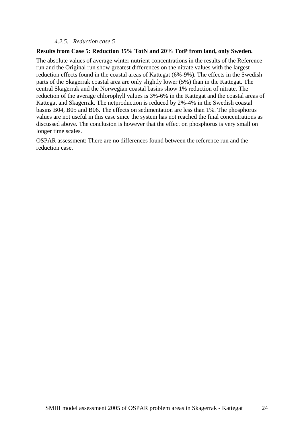#### *4.2.5. Reduction case 5*

#### **Results from Case 5: Reduction 35% TotN and 20% TotP from land, only Sweden.**

The absolute values of average winter nutrient concentrations in the results of the Reference run and the Original run show greatest differences on the nitrate values with the largest reduction effects found in the coastal areas of Kattegat (6%-9%). The effects in the Swedish parts of the Skagerrak coastal area are only slightly lower (5%) than in the Kattegat. The central Skagerrak and the Norwegian coastal basins show 1% reduction of nitrate. The reduction of the average chlorophyll values is 3%-6% in the Kattegat and the coastal areas of Kattegat and Skagerrak. The netproduction is reduced by 2%-4% in the Swedish coastal basins B04, B05 and B06. The effects on sedimentation are less than 1%. The phosphorus values are not useful in this case since the system has not reached the final concentrations as discussed above. The conclusion is however that the effect on phosphorus is very small on longer time scales.

OSPAR assessment: There are no differences found between the reference run and the reduction case.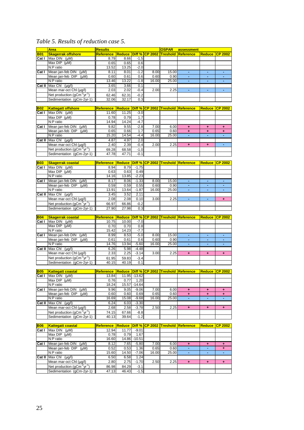### *Table 5. Results of reduction case 5.*

|                              | <b>Area</b>                                                 | <b>Results</b>     |                              |                  |       | <b>OSPAR</b> | assessment                               |                      |                     |
|------------------------------|-------------------------------------------------------------|--------------------|------------------------------|------------------|-------|--------------|------------------------------------------|----------------------|---------------------|
| <b>B01</b>                   | <b>Skagerrak offshore</b>                                   | Reference          | <b>Reduce Diff % CP 2002</b> |                  |       |              | <b>Treshold Reference</b>                | Reduce CP 2002       |                     |
| Cat I                        | $\overline{\text{Max DIN}}$ (µM)                            | 8.79               | 8.66                         | $-1.5$           |       |              |                                          |                      |                     |
|                              | Max DIP (µM)                                                | 0.65               | 0.65                         | 0.6              |       |              |                                          |                      |                     |
|                              | N:P ratio                                                   | 13.52              | 13.25                        | $-2.0$           |       |              |                                          |                      |                     |
| Cat I                        | Mean jan-feb DIN<br>$(\mu M)$                               | 8.11               | 8.01                         | $-1.2$           | 8.00  | 15.00        | $\blacksquare$                           | ٠                    | $\sim$              |
|                              | Mean jan-feb DIP<br>(µM)                                    | 0.60               | 0.61                         | 0.6              | 0.60  | 0.90         | ٠                                        | Ξ                    | ٠                   |
|                              | N:P ratio                                                   | 13.46              | 13.22                        | $-1.8$           | 16.00 | 25.00        | ä,                                       |                      |                     |
| Cat II                       | Max Chl (µg/l)                                              | 3.65               | 3.66                         | 0.1              |       |              |                                          |                      |                     |
|                              | Mean mar-oct Chl (µg/l)                                     | 2.03               | 2.02                         | $-0.4$           | 2.00  | 2.25         | ٠                                        | $\blacksquare$       | $\blacksquare$      |
|                              | Net production $(gCm^2yr^{-1})$                             | 62.46              | 62.31                        | $-0.2$           |       |              |                                          |                      |                     |
|                              | Sedimentation (gCm-2yr-1)                                   | 32.06              | 32.17                        | 0.3              |       |              |                                          |                      |                     |
|                              |                                                             |                    |                              |                  |       |              |                                          |                      |                     |
| <b>B02</b>                   | <b>Kattegatt offshore</b>                                   | <u>Reference</u>   |                              |                  |       |              | Reduce Diff % CP 2002 Treshold Reference |                      | Reduce CP 2002      |
| Cat I                        | Max $DIN$ ( $\mu M$ )                                       | 11.60              | 11.25                        | $-3.0$           |       |              |                                          |                      |                     |
|                              | Max $DIP$ ( $\mu$ M)                                        | 0.78               | 0.79                         | 1.7              |       |              |                                          |                      |                     |
|                              | N:P ratio                                                   | 14.94              | 14.24                        | $-4.7$           |       |              |                                          |                      |                     |
| Cat I                        | Mean jan-feb DIN<br>$(\mu M)$                               | 9.82               | 9.55                         | $-2.8$           | 7.00  | 6.00         | ٠                                        | ٠                    | ٠                   |
|                              | Mean jan-feb DIP<br>$(\mu M)$                               | 0.65               | 0.66                         | 1.7              | 0.65  | 0.60         | ٠                                        | ٠                    | ٠                   |
|                              | N:P ratio                                                   | 15.20              | 14.54                        | $-4.4$           | 16.00 | 25.00        |                                          |                      |                     |
| Cat II                       | Max Chl $(\mu g/l)$                                         | 4.87               | 4.97                         | 2.0              |       |              |                                          |                      |                     |
|                              | Mean mar-oct Chl (µg/l)                                     | 2.40               | 2.39                         | $-0.4$           | 2.00  | 2.25         | $\ddot{\phantom{1}}$                     | $\ddot{\phantom{1}}$ | $\blacksquare$      |
|                              | Net production (gCm <sup>-2</sup> yr <sup>-1</sup> )        | 69.28              | 68.58                        | $-1.0$           |       |              |                                          |                      |                     |
|                              | Sedimentation (qCm-2yr-1)                                   | 47.78              | 47.71                        | $-0.1$           |       |              |                                          |                      |                     |
|                              |                                                             |                    |                              |                  |       |              |                                          |                      |                     |
| <b>B03</b>                   | <b>Skagerrak coastal</b>                                    | <b>Reference</b>   |                              |                  |       |              | Reduce Diff % CP 2002 Treshold Reference |                      | Reduce CP 2002      |
| Cat I                        | Max $DIN$ ( $\mu M$ )                                       | 8.94               | 8.79                         | $-1.75$          |       |              |                                          |                      |                     |
|                              | Max DIP (µM)                                                | 0.63               | 0.63                         | 0.49             |       |              |                                          |                      |                     |
|                              | N:P ratio                                                   | 14.16              | 13.85                        | $-2.23$          |       |              |                                          |                      |                     |
| Cat I                        | Mean jan-feb DIN (µM)                                       | 8.17               | 8.06                         | $-1.33$          | 8.00  | 15.00        |                                          |                      |                     |
|                              | Mean jan-feb DIP<br>(µM)                                    | 0.59               | 0.59                         | 0.55             | 0.60  | 0.90         | ä,                                       | ä,                   | $\blacksquare$      |
|                              | N:P ratio                                                   | 13.91              | 13.64                        | $-1.87$          | 16.00 | 25.00        | ۰                                        | ٠                    | ÷,                  |
| Cat II                       | Max Chl $(\mu g/l)$                                         | 3.45               | 3.52                         | 2.11             |       |              |                                          |                      |                     |
|                              | Mean mar-oct Chl (µg/l)                                     | 2.08               | 2.08                         | 0.10             | 3.00  | 2.25         | ä,                                       |                      | $\ddot{}$           |
|                              | Net production $(gCm^2yr^{-1})$                             |                    |                              | $-0.2$           |       |              |                                          |                      |                     |
|                              | Sedimentation (gCm-2yr-1)                                   | 66.97<br>27.90     | 66.86<br>27.98               |                  |       |              |                                          |                      |                     |
|                              |                                                             |                    |                              | 0.3              |       |              |                                          |                      |                     |
|                              |                                                             |                    |                              |                  |       |              |                                          |                      |                     |
|                              |                                                             |                    |                              |                  |       |              |                                          |                      |                     |
| <b>B04</b>                   | <b>Skagerrak coastal</b>                                    | <b>Reference</b>   |                              |                  |       |              | Reduce Diff % CP 2002 Treshold Reference |                      | Reduce CP 2002      |
| Cat I                        | Max $DIN$ ( $\mu M$ )                                       | 10.75              | 10.00                        | $-7.0$           |       |              |                                          |                      |                     |
|                              | Max DIP (µM)                                                | 0.70               | 0.70                         | 0.8              |       |              |                                          |                      |                     |
|                              | N:P ratio                                                   | 15.42              | 14.23                        | $-7.7$           |       |              |                                          |                      |                     |
| Cat I                        | Mean jan-feb DIN<br>$(\mu M)$                               | 8.99               | 8.53                         | $-5.0$           | 8.00  | 15.00        |                                          |                      |                     |
|                              | Mean jan-feb DIP<br>$(\mu M)$                               | 0.61               | 0.61                         | 0.6              | 0.60  | 0.90         | ÷<br>ä,                                  | ÷.                   | $\blacksquare$      |
|                              | N:P ratio                                                   | 14.76              | 13.94                        | $-5.60$          | 16.00 | 25.00        |                                          |                      |                     |
| Cat $\overline{\mathsf{II}}$ | Max Chl (µg/l)                                              | 6.26               | 5.98                         | $-4.48$          |       |              |                                          |                      |                     |
|                              | Mean mar-oct Chl (µg/l)                                     | 2.33               | 2.25                         | $-3.14$          | 3.00  | 2.25         | ٠                                        | ٠                    | ÷                   |
|                              | Net production ( $gCm^{-2}yr^{-1}$ )                        | 61.95              | 59.83                        | $-3.4$           |       |              |                                          |                      |                     |
|                              | Sedimentation (gCm-2yr-1)                                   | 40.15              | 40.19                        | 0.1              |       |              |                                          |                      |                     |
|                              |                                                             |                    |                              |                  |       |              |                                          |                      |                     |
| <b>B05</b>                   | <b>Kattegatt coastal</b>                                    | <u>Reference</u>   |                              |                  |       |              | Reduce Diff % CP 2002 Treshold Reference | <b>Reduce</b>        | $CP$ 2002           |
|                              | Cat I Max DIN $(\mu M)$                                     | 13.84              |                              | 11.95 - 13.62    |       |              |                                          |                      |                     |
|                              | Max $DIP$ ( $\mu$ M)                                        | 0.76               | 0.77                         | 1.20             |       |              |                                          |                      |                     |
|                              | N:P ratio                                                   | 18.24              | 15.57                        | $-14.64$         |       |              |                                          |                      |                     |
| Cat I                        | Mean jan-feb DIN (µM)                                       | 9.96               | 9.05                         | $-9.06$          | 7.00  | 6.00         | $+$                                      | ٠                    | ٠                   |
|                              | Mean jan-feb DIP (µM)                                       | 0.60               | 0.60                         | 0.69             | 0.65  | 0.60         | ٠<br>ä,                                  | ٠                    | ÷                   |
|                              | N:P ratio                                                   | 16.69              | 15.08                        | $-9.68$          | 16.00 | 25.00        |                                          |                      |                     |
| Cat II                       | Max Chl (µq/l)                                              | 6.24               | 6.03                         | $-3.30$          |       |              |                                          |                      |                     |
|                              | Mean mar-oct Chl (µg/l)                                     | 2.68               | 2.58                         | $-3.78$          | 2.50  | 2.25         | ٠                                        | ٠                    | ٠                   |
|                              | Net production (gCm <sup>-2</sup> yr <sup>-1</sup> )        | 74.15              | 67.66                        | $-8.8$           |       |              |                                          |                      |                     |
|                              | Sedimentation (gCm-2yr-1)                                   | 40.13              | 39.64                        | $-1.2$           |       |              |                                          |                      |                     |
| <b>B06</b>                   | <b>Kattegatt coastal</b>                                    |                    |                              |                  |       |              | Reduce Diff % CP 2002 Treshold Reference |                      | Reduce CP 2002      |
| Cat I                        | Max $DIN$ ( $\mu M$ )                                       | Reference<br>12.94 | 11.77                        | $-9.01$          |       |              |                                          |                      |                     |
|                              | Max $DIP$ ( $\mu$ M)                                        | 0.78               | 0.79                         | 1.67             |       |              |                                          |                      |                     |
|                              |                                                             |                    |                              | 14.86 - 10.51    |       |              |                                          |                      |                     |
|                              | N:P ratio                                                   | 16.60              |                              |                  |       |              |                                          |                      |                     |
| Cat I                        | Mean jan-feb DIN<br>$(\mu M)$                               | 8.12               | 7.65                         | $-5.80$          | 7.00  | 6.00         | ÷                                        | ÷                    | ÷                   |
|                              | Mean jan-feb DIP<br>$(\mu M)$                               | 0.52               | 0.53                         | 1.36             | 0.65  | 0.60         | ä,                                       | Ξ                    | ٠<br>$\blacksquare$ |
|                              | N:P ratio                                                   | 15.60              | 14.50                        | $-7.06$          | 16.00 | 25.00        |                                          |                      |                     |
| Cat II                       | Max Ch $\log$ (µg/l)                                        | 6.50               | 6.58                         | 1.24             |       |              |                                          |                      |                     |
|                              | Mean mar-oct Chl (µg/l)                                     | 2.80               | 2.75                         | $-1.70$          | 2.50  | 2.25         | ÷                                        | ٠                    | ٠                   |
|                              | Net production ( $gCm-2yr-1$ )<br>Sedimentation (gCm-2yr-1) | 86.98<br>47.13     | 84.29<br>46.43               | $-3.1$<br>$-1.5$ |       |              |                                          |                      |                     |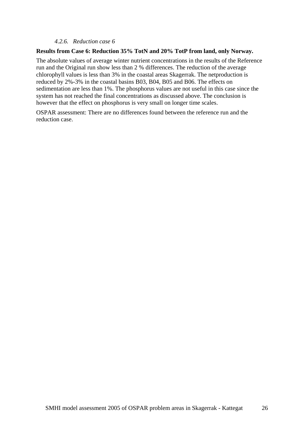#### *4.2.6. Reduction case 6*

#### **Results from Case 6: Reduction 35% TotN and 20% TotP from land, only Norway.**

The absolute values of average winter nutrient concentrations in the results of the Reference run and the Original run show less than 2 % differences. The reduction of the average chlorophyll values is less than 3% in the coastal areas Skagerrak. The netproduction is reduced by 2%-3% in the coastal basins B03, B04, B05 and B06. The effects on sedimentation are less than 1%. The phosphorus values are not useful in this case since the system has not reached the final concentrations as discussed above. The conclusion is however that the effect on phosphorus is very small on longer time scales.

OSPAR assessment: There are no differences found between the reference run and the reduction case.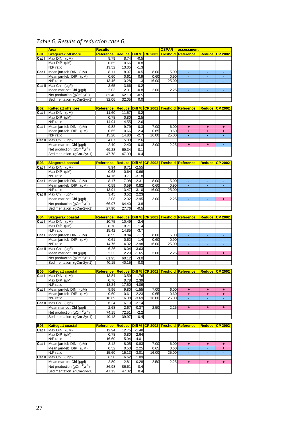# *Table 6. Results of reduction case 6.*

|                      | <b>Area</b>                                                                       | <b>Results</b>                                     |                      |                 |                       | <b>OSPAR</b>            | assessment                               |                      |                      |
|----------------------|-----------------------------------------------------------------------------------|----------------------------------------------------|----------------------|-----------------|-----------------------|-------------------------|------------------------------------------|----------------------|----------------------|
| <b>B01</b>           | <b>Skagerrak offshore</b>                                                         | <b>Reference</b>                                   | <b>Reduce</b>        |                 | <b>Diff % CP 2002</b> | <b>Treshold</b>         | Reference                                |                      | Reduce CP 2002       |
| Cat I                | Max $DIN$ ( $\mu M$ )                                                             | 8.79                                               | 8.74                 | $-0.5$          |                       |                         |                                          |                      |                      |
|                      | Max $DIP$ ( $\mu$ M)                                                              | 0.65                                               | 0.66                 | 0.8             |                       |                         |                                          |                      |                      |
|                      | N:P ratio                                                                         | 13.52                                              | 13.35                | $-1.3$          |                       |                         |                                          |                      |                      |
| Cat I                | Mean jan-feb DIN<br>$(\mu M)$                                                     | 8.11                                               | 8.07                 | $-0.5$          | 8.00                  | 15.00                   | $\blacksquare$                           | Ξ                    | $\blacksquare$       |
|                      | Mean jan-feb DIP<br>$(\mu M)$                                                     | 0.60                                               | 0.61                 | 0.9             | 0.60                  | 0.90                    | ٠                                        | $\blacksquare$       | ٠                    |
|                      | N:P ratio                                                                         | 13.46                                              | 13.28                | $-1.3$          | 16.00                 | 25.00                   | ÷                                        | $\blacksquare$       | $\blacksquare$       |
| Cat II               | Max ChI (µq/l)                                                                    | 3.65                                               | 3.66                 | 0.2             |                       |                         |                                          |                      |                      |
|                      | Mean mar-oct Chl (µg/l)                                                           | 2.03                                               | 2.01                 | $-0.8$          | 2.00                  | 2.25                    | ä,                                       | ä,                   | ÷,                   |
|                      | Net production (gCm <sup>-2</sup> yr <sup>-1</sup> )<br>Sedimentation (qCm-2yr-1) | 62.46<br>32.06                                     | 62.13<br>32.05       | $-0.5$<br>0.0   |                       |                         |                                          |                      |                      |
|                      |                                                                                   |                                                    |                      |                 |                       |                         |                                          |                      |                      |
| <b>B02</b>           | <b>Kattegatt offshore</b>                                                         | Reference                                          | <b>Reduce</b>        |                 |                       | Diff % CP 2002 Treshold | Reference                                | <b>Reduce</b>        | $CP$ 2002            |
| Cat I                | Max $DIN$ ( $\mu M$ )                                                             | 11.60                                              | 11.57                | $-0.2$          |                       |                         |                                          |                      |                      |
|                      | Max DIP (uM)                                                                      | 0.78                                               | 0.80                 | 2.5             |                       |                         |                                          |                      |                      |
|                      | N:P ratio                                                                         | 14.94                                              | 14.55                | $-2.6$          |                       |                         |                                          |                      |                      |
| Cat I                | Mean jan-feb DIN (µM)                                                             | 9.82                                               | 9.79                 | $-0.3$          | 7.00                  | 6.00                    | ٠                                        | ÷                    | ٠                    |
|                      | Mean jan-feb DIP<br>$(\mu M)$                                                     | 0.65                                               | 0.66                 | 2.4             | 0.65                  | 0.60                    | ÷                                        | ÷                    | ÷                    |
|                      | N:P ratio                                                                         | 15.20                                              | 14.80                | $-2.7$          | 16.00                 | 25.00                   | ä,                                       | ÷                    |                      |
| Cat II               | $Max ChI$ ( $\mu$ g/l)                                                            | 4.87                                               | 5.00                 | 2.6             |                       |                         |                                          |                      |                      |
|                      | Mean mar-oct ChI (µg/l)                                                           | 2.40                                               | 2.40                 | 0.0             | 2.00                  | 2.25                    | $\ddot{}$                                | ÷                    | ÷,                   |
|                      | Net production $(gCm^2yr^{-1})$                                                   | 69.28                                              | 69.34                | 0.1             |                       |                         |                                          |                      |                      |
|                      | Sedimentation (gCm-2yr-1)                                                         | 47.78                                              | 47.99                | 0.4             |                       |                         |                                          |                      |                      |
| <b>B03</b>           |                                                                                   |                                                    | <b>Reduce Diff %</b> |                 |                       |                         |                                          |                      |                      |
| Cat I                | <b>Skagerrak coastal</b><br>Max $DIN$ ( $\mu M$ )                                 | Reference<br>8.94                                  | 8.71                 | $-2.55$         |                       | <b>CP 2002 Treshold</b> | Reference                                | <b>Reduce</b>        | <b>CP 2002</b>       |
|                      | Max $DIP$ ( $\mu$ M)                                                              | 0.63                                               | 0.64                 | 0.66            |                       |                         |                                          |                      |                      |
|                      | N:P ratio                                                                         | 14.16                                              | 13.71                | $-3.18$         |                       |                         |                                          |                      |                      |
| Cat I                | Mean jan-feb DIN (µM)                                                             | 8.17                                               | 7.98                 | $-2.31$         | 8.00                  | 15.00                   | ٠                                        | ٠                    |                      |
|                      | Mean jan-feb DIP (µM)                                                             | 0.59                                               | 0.59                 | 0.82            | 0.60                  | 0.90                    | ÷                                        | ٠                    | $\sim$               |
|                      | N:P ratio                                                                         | 13.91                                              | 13.47                | $-3.10$         | 16.00                 | 25.00                   |                                          |                      |                      |
| Cat II               | Max Chl (µg/l)                                                                    | 3.45                                               | 3.52                 | 2.23            |                       |                         |                                          |                      |                      |
|                      | Mean mar-oct Chl (µg/l)                                                           | 2.08                                               | 2.02                 | $-2.95$         | 3.00                  | 2.25                    | ÷,                                       | ÷,                   | ٠                    |
|                      | Net production $(gCm^2yr^1)$                                                      | 66.97                                              | 64.40                | $-3.8$          |                       |                         |                                          |                      |                      |
|                      | Sedimentation (gCm-2yr-1)                                                         | 27.90                                              | 27.76                | $-0.5$          |                       |                         |                                          |                      |                      |
|                      |                                                                                   |                                                    |                      |                 |                       |                         |                                          |                      |                      |
| <b>B04</b>           | <b>Skagerrak coastal</b><br>Max DIN (µM)                                          | <b>Reference</b>                                   |                      |                 |                       |                         | Reduce Diff % CP 2002 Treshold Reference |                      | Reduce CP 2002       |
| Cat I                | Max $DIP$ ( $\mu$ M)                                                              | 10.75<br>0.70                                      | 10.49<br>0.71        | $-2.4$<br>1.4   |                       |                         |                                          |                      |                      |
|                      | N:P ratio                                                                         | 15.42                                              | 14.85                | $-3.7$          |                       |                         |                                          |                      |                      |
| Cat I                | Mean jan-feb DIN<br>(µM)                                                          | 8.99                                               | 8.84                 | $-1.7$          | 8.00                  | 15.00                   | ÷                                        | ÷                    | ÷.                   |
|                      | Mean jan-feb DIP<br>$(\mu M)$                                                     | 0.61                                               | 0.62                 | 1.4             | 0.60                  | 0.90                    | ٠                                        | ٠                    | ٠                    |
|                      | N:P ratio                                                                         | 14.76                                              | 14.32                | $-2.98$         | 16.00                 | 25.00                   | ä,                                       | $\blacksquare$       | $\blacksquare$       |
| Cat II               | Max ChI (uq/l)                                                                    | 6.26                                               | 6.04                 | $-3.63$         |                       |                         |                                          |                      |                      |
|                      | Mean mar-oct Chl (µg/l)                                                           | 2.33                                               | 2.29                 | $-1.65$         | 3.00                  | 2.25                    | $\ddot{\phantom{1}}$                     | $\ddot{\phantom{1}}$ | $\ddot{\phantom{1}}$ |
|                      | Net production (gCm <sup>-2</sup> yr <sup>-1</sup> )                              | 61.95                                              | 60.12                | $-3.0$          |                       |                         |                                          |                      |                      |
|                      | Sedimentation (gCm-2yr-1)                                                         | 40.15                                              | 40.15                | 0.0             |                       |                         |                                          |                      |                      |
|                      |                                                                                   |                                                    |                      |                 |                       |                         |                                          |                      |                      |
| <b>B05</b>           | <b>Kattegatt coastal</b>                                                          | Reference Reduce Diff % CP 2002 Treshold Reference |                      |                 |                       |                         |                                          |                      | Reduce CP 2002       |
| $\overline{Cat}$ $I$ | Max DIN (µM)                                                                      | 13.84                                              | 13.59                | $-1.76$         |                       |                         |                                          |                      |                      |
|                      | Max $DIP$ ( $\mu$ M)<br>N:P ratio                                                 | 0.76                                               | 0.78<br>17.50        | 2.39<br>$-4.06$ |                       |                         |                                          |                      |                      |
|                      |                                                                                   | 18.24                                              |                      |                 | 7.00                  |                         |                                          |                      |                      |
| Cat I                | Mean jan-feb DIN<br>$(\mu M)$<br>Mean jan-feb DIP<br>$(\mu M)$                    | 9.96<br>0.60                                       | 9.80<br>0.61         | $-1.55$<br>2.23 | 0.65                  | 6.00<br>0.60            | ÷.<br>÷                                  | ÷<br>٠               | ÷<br>٠               |
|                      | N:P ratio                                                                         | 16.69                                              | 16.08                | $-3.69$         | 16.00                 | 25.00                   |                                          |                      |                      |
|                      | Cat II $Max ChI (µq/l)$                                                           | 6.24                                               | 6.10                 | $-2.14$         |                       |                         |                                          |                      |                      |
|                      | Mean mar-oct Chl (µg/l)                                                           | 2.68                                               | 2.67                 | $-0.37$         | 2.50                  | 2.25                    | $\pm$                                    | ÷                    | ٠                    |
|                      | Net production $(gCm-2yr-1)$                                                      | 74.15                                              | 72.51                | $-2.2$          |                       |                         |                                          |                      |                      |
|                      | Sedimentation (gCm-2yr-1)                                                         | 40.13                                              | 39.97                | $-0.4$          |                       |                         |                                          |                      |                      |
|                      |                                                                                   |                                                    |                      |                 |                       |                         |                                          |                      |                      |
| <b>B06</b>           | <b>Kattegatt coastal</b>                                                          | Reference                                          | <b>Reduce</b>        |                 |                       |                         | Diff % CP 2002 Treshold Reference        | <b>Reduce</b>        | <b>CP 2002</b>       |
| Cat I                | Max $DIN$ ( $\mu M$ )                                                             | 12.94                                              | 12.75                | $-1.48$         |                       |                         |                                          |                      |                      |
|                      | Max $DIP$ ( $\mu$ M)                                                              | 0.78                                               | 0.80                 | 2.64            |                       |                         |                                          |                      |                      |
|                      | N:P ratio                                                                         | 16.60                                              | 15.94                | $-4.01$         |                       |                         |                                          |                      |                      |
| Cat I                | Mean jan-feb $DIN$ ( $\mu M$ )                                                    | 8.12                                               | 8.05                 | $-0.83$         | 7.00                  | 6.00                    | ÷                                        | ÷                    | ٠                    |
|                      | Mean jan-feb DIP<br>$(\mu M)$                                                     | 0.52                                               | 0.53                 | 2.25            | 0.65                  | 0.60                    |                                          | ÷,                   | ٠                    |
|                      | N:P ratio                                                                         | 15.60                                              | 15.13                | $-3.01$         | 16.00                 | 25.00                   | ٠                                        |                      |                      |
| Cat II               | Max Chl $(\mu g/l)$<br>Mean mar-oct ChI (µg/l)                                    | 6.50<br>2.80                                       | 6.62<br>2.81         | 1.89<br>0.28    | 2.50                  | 2.25                    | ٠                                        |                      |                      |
|                      | Net production (gCm <sup>-2</sup> yr <sup>-1</sup> )                              | 86.98                                              | 86.61                | $-0.4$          |                       |                         |                                          | ٠                    | ٠                    |
|                      | Sedimentation (gCm-2yr-1)                                                         | 47.13                                              | 47.32                | 0.4             |                       |                         |                                          |                      |                      |
|                      |                                                                                   |                                                    |                      |                 |                       |                         |                                          |                      |                      |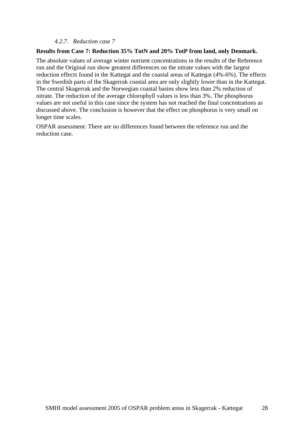#### *4.2.7. Reduction case 7*

#### **Results from Case 7: Reduction 35% TotN and 20% TotP from land, only Denmark.**

The absolute values of average winter nutrient concentrations in the results of the Reference run and the Original run show greatest differences on the nitrate values with the largest reduction effects found in the Kattegat and the coastal areas of Kattegat (4%-6%). The effects in the Swedish parts of the Skagerrak coastal area are only slightly lower than in the Kattegat. The central Skagerrak and the Norwegian coastal basins show less than 2% reduction of nitrate. The reduction of the average chlorophyll values is less than 3%. The phosphorus values are not useful in this case since the system has not reached the final concentrations as discussed above. The conclusion is however that the effect on phosphorus is very small on longer time scales.

OSPAR assessment: There are no differences found between the reference run and the reduction case.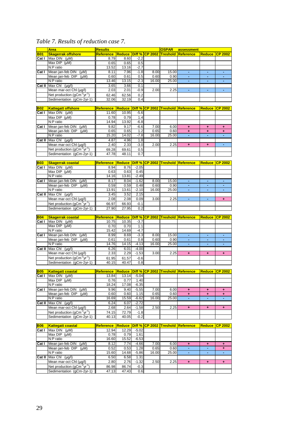# *Table 7. Results of reduction case 7.*

| <b>B01</b> | <b>Area</b>                                                                       | <b>Results</b>                                     |                      |               |                       | OSPAR           | assessment                               |                      |                      |
|------------|-----------------------------------------------------------------------------------|----------------------------------------------------|----------------------|---------------|-----------------------|-----------------|------------------------------------------|----------------------|----------------------|
|            | <b>Skagerrak offshore</b>                                                         | Reference                                          | <b>Reduce</b>        |               | <b>Diff % CP 2002</b> | <b>Treshold</b> | Reference                                | <b>Reduce</b>        | $CP$ 2002            |
| Cat I      | Max $DIN$ ( $\mu M$ )                                                             | 8.79                                               | 8.60                 | $-2.2$        |                       |                 |                                          |                      |                      |
|            | Max DIP (uM)                                                                      | 0.65                                               | 0.65                 | 0.5           |                       |                 |                                          |                      |                      |
|            | N:P ratio                                                                         | 13.52                                              | 13.16                | $-2.7$        |                       |                 |                                          |                      |                      |
| Cat I      | Mean jan-feb DIN<br>$(\mu M)$                                                     | 8.11                                               | 7.96                 | $-1.8$        | 8.00                  | 15.00           | $\blacksquare$                           | Ξ                    | $\blacksquare$       |
|            | Mean jan-feb DIP<br>(µM)                                                          | 0.60                                               | 0.61                 | 0.5           | 0.60                  | 0.90            | ٠                                        | ٠                    | ٠                    |
|            | N:P ratio                                                                         | 13.46                                              | 13.15                | $-2.3$        | 16.00                 | 25.00           | ÷                                        | $\blacksquare$       | $\blacksquare$       |
| Cat II     | Max Chl (µg/l)                                                                    | 3.65                                               | 3.66                 | 0.1           |                       |                 |                                          |                      |                      |
|            | Mean mar-oct Chl (µg/l)                                                           | 2.03                                               | 2.01                 | $-0.9$        | 2.00                  | 2.25            | ä,                                       | ä,                   | Ξ                    |
|            | Net production $(gCm^2yr^{-1})$                                                   | 62.46                                              | 62.56                | 0.2           |                       |                 |                                          |                      |                      |
|            | Sedimentation (qCm-2yr-1)                                                         | 32.06                                              | 32.19                | 0.4           |                       |                 |                                          |                      |                      |
|            |                                                                                   |                                                    |                      |               |                       |                 |                                          |                      |                      |
| <b>B02</b> | <b>Kattegatt offshore</b>                                                         | <u>Reference</u>                                   | <b>Reduce</b>        | Diff %        | $\overline{CP}$ 2002  | <b>Treshold</b> | Reference                                | <b>Reduce</b>        | $CP$ 2002            |
| Cat I      | Max $DIN$ ( $\mu M$ )                                                             | 11.60                                              | 10.95                | $-5.6$        |                       |                 |                                          |                      |                      |
|            | Max DIP (uM)                                                                      | 0.78                                               | 0.79                 | 1.4           |                       |                 |                                          |                      |                      |
|            | N:P ratio                                                                         | 14.94                                              | 13.92                | $-6.8$        |                       |                 |                                          |                      |                      |
| Cat I      | Mean jan-feb $DIN$ ( $\mu M$ )                                                    | 9.82                                               | 9.17                 | -6.6          | 7.00                  | 6.00            | ٠                                        | ٠                    | ٠                    |
|            | Mean jan-feb DIP<br>(µM)                                                          | 0.65                                               | 0.65                 | 1.2           | 0.65                  | 0.60            | $\ddot{}$                                | ٠                    | ٠                    |
|            | N:P ratio                                                                         | 15.20                                              | 14.02                | $-7.8$        | 16.00                 | 25.00           | ä,                                       |                      |                      |
| Cat II     | Max Chl (µg/l)                                                                    | 4.87                                               | 4.96                 | 1.8           |                       |                 |                                          |                      |                      |
|            | Mean mar-oct ChI (µg/l)                                                           | 2.40                                               | 2.33                 | $-3.0$        | 2.00                  | 2.25            | $\ddot{}$                                | $\ddot{}$            | ÷                    |
|            | Net production $(gCm^2yr^{-1})$                                                   | 69.28                                              | 69.61                | 0.5           |                       |                 |                                          |                      |                      |
|            | Sedimentation (gCm-2yr-1)                                                         | 47.78                                              | 48.11                | 0.7           |                       |                 |                                          |                      |                      |
| <b>B03</b> |                                                                                   |                                                    | <b>Reduce Diff %</b> |               | $CP$ 2002             | <b>Treshold</b> | Reference                                | <b>Reduce</b>        | <b>CP 2002</b>       |
| Cat I      | <b>Skagerrak coastal</b><br>Max $DIN$ ( $\mu M$ )                                 | <u>Reference</u><br>8.94                           | 8.76                 | $-2.05$       |                       |                 |                                          |                      |                      |
|            | Max $DIP$ ( $\mu$ M)                                                              |                                                    |                      | 0.45          |                       |                 |                                          |                      |                      |
|            | N:P ratio                                                                         | 0.63<br>14.16                                      | 0.63<br>13.81        | $-2.49$       |                       |                 |                                          |                      |                      |
| Cat I      | Mean jan-feb DIN (µM)                                                             | 8.17                                               | 8.04                 | $-1.62$       | 8.00                  | 15.00           | ٠                                        |                      |                      |
|            | Mean jan-feb DIP (µM)                                                             | 0.59                                               | 0.59                 | 0.48          | 0.60                  | 0.90            | ÷                                        | $\sim$               | $\sim$               |
|            | N:P ratio                                                                         | 13.91                                              | 13.61                | $-2.10$       | 16.00                 | 25.00           |                                          |                      |                      |
| Cat II     | Max Chl $(\mu g/l)$                                                               | 3.45                                               | 3.52                 | 2.15          |                       |                 |                                          |                      |                      |
|            | Mean mar-oct Chl (µg/l)                                                           | 2.08                                               | 2.08                 | 0.09          | 3.00                  | 2.25            | ÷,                                       | ٠                    | ٠                    |
|            | Net production ( $gCm-2yr-1$ )                                                    | 66.97                                              | 66.93                | $-0.1$        |                       |                 |                                          |                      |                      |
|            | Sedimentation (gCm-2yr-1)                                                         | 27.90                                              | 27.95                | 0.2           |                       |                 |                                          |                      |                      |
|            |                                                                                   |                                                    |                      |               |                       |                 |                                          |                      |                      |
| <b>B04</b> | <b>Skagerrak coastal</b>                                                          | <u>Reference</u>                                   |                      |               |                       |                 | Reduce Diff % CP 2002 Treshold Reference | <b>Reduce</b>        | $\overline{CP}$ 2002 |
| Cat I      | Max $DIN$ ( $\mu M$ )                                                             | 10.75                                              | 10.35                | $-3.7$        |                       |                 |                                          |                      |                      |
|            | $\overline{\text{Max DIP}}$ (µM)                                                  |                                                    |                      |               |                       |                 |                                          |                      |                      |
|            |                                                                                   | 0.70                                               | 0.70                 | 1.1           |                       |                 |                                          |                      |                      |
|            | N:P ratio                                                                         | 15.42                                              | 14.69                | $-4.7$        |                       |                 |                                          |                      |                      |
| Cat I      | (µM)                                                                              |                                                    | 8.69                 | $-3.3$        |                       |                 | ÷                                        | ÷                    | ÷.                   |
|            | Mean jan-feb DIN<br>Mean jan-feb DIP<br>$(\mu M)$                                 | 8.99<br>0.61                                       | 0.61                 | 0.8           | 8.00<br>0.60          | 15.00<br>0.90   | ÷,                                       | ٠                    | ٠                    |
|            | N:P ratio                                                                         | 14.76                                              | 14.15                | $-4.13$       | 16.00                 | 25.00           | ÷.                                       | ÷.                   | $\blacksquare$       |
| Cat II     | Max Chi (µq/l)                                                                    | 6.26                                               | 6.01                 | $-4.00$       |                       |                 |                                          |                      |                      |
|            | Mean mar-oct Chl (µg/l)                                                           | 2.33                                               | 2.29                 | $-1.53$       | 3.00                  | 2.25            | $+$                                      | $\ddot{\phantom{1}}$ | $\ddot{\phantom{1}}$ |
|            | Net production (gCm <sup>-2</sup> yr <sup>-1</sup> )                              | 61.95                                              | 61.57                | $-0.6$        |                       |                 |                                          |                      |                      |
|            | Sedimentation (gCm-2yr-1)                                                         | 40.15                                              | 40.47                | 0.8           |                       |                 |                                          |                      |                      |
|            |                                                                                   |                                                    |                      |               |                       |                 |                                          |                      |                      |
| <b>B05</b> | <b>Kattegatt coastal</b>                                                          | Reference Reduce Diff % CP 2002 Treshold Reference |                      |               |                       |                 |                                          |                      | Reduce CP 2002       |
| Cat I      | [Max DIN (µM)                                                                     | 13.84                                              | 13.14                | $-5.04$       |                       |                 |                                          |                      |                      |
|            | Max $DIP$ ( $\mu$ M)                                                              | 0.76                                               | 0.77                 | 1.40          |                       |                 |                                          |                      |                      |
|            | N:P ratio                                                                         | 18.24                                              | 17.08                | $-6.35$       |                       |                 |                                          |                      |                      |
| Cat I      | Mean jan-feb DIN<br>$(\mu M)$                                                     | 9.96                                               | 9.40                 | $-5.55$       | 7.00                  | 6.00            | ÷                                        | ÷                    | ÷                    |
|            | Mean jan-feb DIP<br>(uM)                                                          | 0.60                                               | 0.60                 | 1.15          | 0.65                  | 0.60            | ÷                                        | ٠                    | ٠                    |
|            | N:P ratio                                                                         | 16.69                                              | 15.59                | $-6.62$       | 16.00                 | 25.00           |                                          |                      |                      |
| Cat II     | Max Chl $(\mu g/l)$                                                               | 6.24                                               | 6.07                 | $-2.72$       |                       |                 |                                          |                      |                      |
|            | Mean mar-oct ChI (µg/l)                                                           | 2.68                                               | 2.64                 | $-1.58$       | 2.50                  | 2.25            | $\ddot{}$                                | ٠                    | ÷                    |
|            | Net production $(gCm-2yr-1)$                                                      | 74.15                                              | 72.79                | $-1.8$        |                       |                 |                                          |                      |                      |
|            | Sedimentation (gCm-2yr-1)                                                         | 40.13                                              | 40.05                | $-0.2$        |                       |                 |                                          |                      |                      |
|            |                                                                                   |                                                    |                      |               |                       |                 |                                          |                      |                      |
| <b>B06</b> | <b>Kattegatt coastal</b>                                                          | <u>Reference</u>                                   |                      |               |                       |                 | Reduce Diff % CP 2002 Treshold Reference | <u>Reduce  </u>      | $CP$ 2002            |
| Cat I      | Max $DIN$ ( $\mu M$ )                                                             | 12.94                                              | 12.29                | $-5.02$       |                       |                 |                                          |                      |                      |
|            | Max $DIP$ ( $\mu$ M)                                                              | 0.78                                               | 0.79                 | 1.61          |                       |                 |                                          |                      |                      |
|            | N:P ratio                                                                         | 16.60                                              | 15.52                | $-6.53$       |                       |                 |                                          |                      |                      |
| Cat I      | Mean jan-feb $DIN$ ( $\mu M$ )                                                    | 8.12                                               | 7.74                 | $-4.66$       | 7.00                  | 6.00            | ٠                                        | ٠                    | ÷                    |
|            | Mean jan-feb DIP<br>$(\mu M)$                                                     | 0.52                                               | 0.53                 | 1.28          | 0.65                  | 0.60            | ä,                                       | $\blacksquare$       | ٠                    |
|            | N:P ratio                                                                         | 15.60                                              | 14.68                | $-5.86$       | 16.00                 | 25.00           | ۰                                        |                      |                      |
| Cat II     | Max Chl $(\mu g/l)$                                                               | 6.50                                               | 6.58                 | 1.31          |                       |                 |                                          |                      |                      |
|            | Mean mar-oct ChI (µg/l)                                                           | 2.80                                               | 2.76                 | $-1.32$       | 2.50                  | 2.25            | ٠                                        | ٠                    | ٠                    |
|            | Net production (gCm <sup>-2</sup> yr <sup>-1</sup> )<br>Sedimentation (gCm-2yr-1) | 86.98<br>47.13                                     | 86.74<br>47.43       | $-0.3$<br>0.6 |                       |                 |                                          |                      |                      |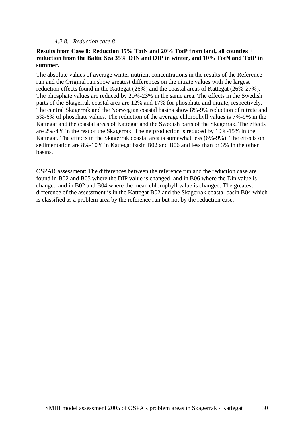#### *4.2.8. Reduction case 8*

#### **Results from Case 8: Reduction 35% TotN and 20% TotP from land, all counties + reduction from the Baltic Sea 35% DIN and DIP in winter, and 10% TotN and TotP in summer.**

The absolute values of average winter nutrient concentrations in the results of the Reference run and the Original run show greatest differences on the nitrate values with the largest reduction effects found in the Kattegat (26%) and the coastal areas of Kattegat (26%-27%). The phosphate values are reduced by 20%-23% in the same area. The effects in the Swedish parts of the Skagerrak coastal area are 12% and 17% for phosphate and nitrate, respectively. The central Skagerrak and the Norwegian coastal basins show 8%-9% reduction of nitrate and 5%-6% of phosphate values. The reduction of the average chlorophyll values is 7%-9% in the Kattegat and the coastal areas of Kattegat and the Swedish parts of the Skagerrak. The effects are 2%-4% in the rest of the Skagerrak. The netproduction is reduced by 10%-15% in the Kattegat. The effects in the Skagerrak coastal area is somewhat less (6%-9%). The effects on sedimentation are 8%-10% in Kattegat basin B02 and B06 and less than or 3% in the other basins.

OSPAR assessment: The differences between the reference run and the reduction case are found in B02 and B05 where the DIP value is changed, and in B06 where the Din value is changed and in B02 and B04 where the mean chlorophyll value is changed. The greatest difference of the assessment is in the Kattegat B02 and the Skagerrak coastal basin B04 which is classified as a problem area by the reference run but not by the reduction case.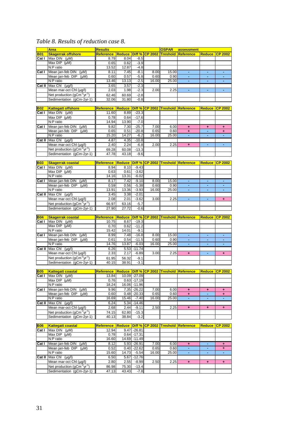# *Table 8. Results of reduction case 8.*

|                     | <b>Area</b>                                                                       | <b>Results</b>                                     |                |                                |                       | <b>OSPAR</b>    | assessment                               |               |                      |
|---------------------|-----------------------------------------------------------------------------------|----------------------------------------------------|----------------|--------------------------------|-----------------------|-----------------|------------------------------------------|---------------|----------------------|
| <b>B01</b>          | <b>Skagerrak offshore</b>                                                         | <b>Reference</b>                                   | Reduce         |                                | <b>Diff % CP 2002</b> | <b>Treshold</b> | Reference                                | <b>Reduce</b> | <b>CP 2002</b>       |
| Cat I               | Max DIN (µM)                                                                      | 8.79                                               | 8.04           | $-8.5$                         |                       |                 |                                          |               |                      |
|                     | Max $DIP$ ( $\mu$ M)                                                              | 0.65                                               | 0.62           | $-3.9$                         |                       |                 |                                          |               |                      |
|                     | N:P ratio                                                                         | 13.52                                              | 12.87          | $-4.8$                         |                       |                 |                                          |               |                      |
| Cat I               | Mean jan-feb DIN<br>$(\mu M)$<br>Mean jan-feb DIP                                 | 8.11                                               | 7.45           | $-8.1$                         | 8.00                  | 15.00           | $\blacksquare$<br>٠                      | Ξ<br>٠        | ٠<br>٠               |
|                     | $(\mu M)$<br>N:P ratio                                                            | 0.60<br>13.46                                      | 0.57<br>13.13  | $-5.8$<br>$-2.5$               | 0.60<br>16.00         | 0.90<br>25.00   | ÷.                                       | ä,            | Ξ                    |
| Cat II              | Max Chl $(\mu g/l)$                                                               | 3.65                                               | 3.57           | $-2.3$                         |                       |                 |                                          |               |                      |
|                     | Mean mar-oct Chl (µg/l)                                                           | 2.03                                               | 1.98           | $-2.3$                         | 2.00                  | 2.25            | ä,                                       | ä,            | Ξ                    |
|                     | Net production $(gCm^2yr^{-1})$                                                   | 62.46                                              | 60.69          | $-2.8$                         |                       |                 |                                          |               |                      |
|                     | Sedimentation (gCm-2yr-1)                                                         | 32.06                                              | 31.80          | $-0.8$                         |                       |                 |                                          |               |                      |
|                     |                                                                                   |                                                    |                |                                |                       |                 |                                          |               |                      |
| <b>B02</b>          | <b>Kattegatt offshore</b>                                                         | <b>Reference</b>                                   | <b>Reduce</b>  |                                | <b>Diff % CP 2002</b> | Treshold        | Reference                                | <b>Reduce</b> | <b>CP 2002</b>       |
| Cat I               | Max $DIN$ ( $\mu M$ )<br>Max DIP (uM)                                             | 11.60                                              | 8.89           | $-23.3$                        |                       |                 |                                          |               |                      |
|                     | N:P ratio                                                                         | 0.78<br>14.94                                      | 0.64<br>13.90  | $-17.6$<br>$-7.0$              |                       |                 |                                          |               |                      |
| Cat I               | Mean jan-feb DIN<br>$(\mu M)$                                                     | 9.82                                               | 7.30           | $-25.7$                        | 7.00                  | 6.00            | ÷                                        | ٠             | ٠                    |
|                     | Mean jan-feb DIP<br>$(\mu M)$                                                     | 0.65                                               | 0.51           | $-20.8$                        | 0.65                  | 0.60            | ÷                                        |               | ٠                    |
|                     | N:P ratio                                                                         | 15.20                                              | 14.27          | $-6.2$                         | 16.00                 | 25.00           | ÷,                                       |               |                      |
| Cat II              | Max Chl $(\mu g/l)$                                                               | 4.87                                               | 4.35           | $-10.8$                        |                       |                 |                                          |               |                      |
|                     | Mean mar-oct Chl (µg/l)                                                           | 2.40                                               | 2.24           | $-6.8$                         | 2.00                  | 2.25            | ÷                                        | ä,            | ÷,                   |
|                     | Net production $(gCm^2yr^{-1})$                                                   | 69.28                                              | 60.08          | $-13.3$                        |                       |                 |                                          |               |                      |
|                     | Sedimentation (gCm-2yr-1)                                                         | 47.78                                              | 43.18          | $-9.6$                         |                       |                 |                                          |               |                      |
| <b>B03</b>          | <b>Skagerrak coastal</b>                                                          | <b>Reference</b>                                   | <b>Reduce</b>  | Diff %                         | <b>CP 2002</b>        | <b>Treshold</b> | Reference                                | <b>Reduce</b> | <b>CP 2002</b>       |
| Cat I               | Max $DIN$ ( $\mu M$ )                                                             | 8.94                                               | 8.10           | $-9.43$                        |                       |                 |                                          |               |                      |
|                     | Max $DIP$ ( $\mu$ M)                                                              | 0.63                                               | 0.61           | $-3.62$                        |                       |                 |                                          |               |                      |
|                     | N:P ratio                                                                         | 14.16                                              | 13.31          | $-6.02$                        |                       |                 |                                          |               |                      |
| Cat I               | Mean jan-feb DIN (µM)                                                             | 8.17                                               | 7.42           | $-9.10$                        | 8.00                  | 15.00           | ٠                                        |               |                      |
|                     | Mean jan-feb DIP<br>$(\mu M)$                                                     | 0.59                                               | 0.56           | $-5.38$                        | 0.60                  | 0.90            | ٠                                        | $\sim$        | ٠                    |
|                     | N:P ratio                                                                         | 13.91                                              | 13.36          | $-3.93$                        | 16.00                 | 25.00           |                                          |               |                      |
| Cat II              | Max Chl (µg/l)                                                                    | 3.45                                               | 3.38           | $-2.01$                        |                       |                 |                                          |               |                      |
|                     | Mean mar-oct Chl (µg/l)                                                           | 2.08                                               | 2.01           | $-3.62$                        | 3.00                  | 2.25            |                                          | ÷,            | $\ddot{\phantom{1}}$ |
|                     | Net production $(gCm^2yr^1)$                                                      | 66.97                                              | 63.16          | $-5.7$                         |                       |                 |                                          |               |                      |
|                     | Sedimentation (gCm-2yr-1)                                                         | 27.90                                              | 27.72          | $-0.6$                         |                       |                 |                                          |               |                      |
|                     |                                                                                   |                                                    |                |                                |                       |                 |                                          |               |                      |
| <b>B04</b>          | <b>Skagerrak coastal</b>                                                          | <b>Reference</b>                                   | <b>Reduce</b>  |                                |                       |                 | Diff % CP 2002 Treshold Reference        |               | Reduce CP 2002       |
| Cat I               | Max DIN (µM)                                                                      | 10.75                                              | 8.67           | $-19.3$                        |                       |                 |                                          |               |                      |
|                     | Max $DIP$ ( $\mu$ M)                                                              | 0.70                                               | 0.62           | $-11.2$                        |                       |                 |                                          |               |                      |
|                     | N:P ratio                                                                         | 15.42                                              | 14.01          | $-9.1$                         |                       |                 |                                          |               |                      |
| Cat I               | Mean jan-feb DIN<br>$(\mu M)$                                                     | 8.99                                               | 7.48           | $-16.8$                        | 8.00                  | 15.00           | ÷                                        | ÷             | ÷.                   |
|                     | Mean jan-feb DIP<br>$(\mu M)$                                                     | 0.61                                               | 0.54           | $-11.5$                        | 0.60                  | 0.90            | ÷,<br>÷.                                 | ÷,<br>÷.      | ٠<br>$\blacksquare$  |
|                     | N:P ratio                                                                         | 14.76                                              | 13.87          | $-6.03$                        | 16.00                 | 25.00           |                                          |               |                      |
| Cat II              | Max Chl (µg/l)<br>Mean mar-oct Chl (µg/l)                                         | 6.26<br>2.33                                       | 5.53<br>2.17   | $-11.74$<br>$-6.89$            | 3.00                  | 2.25            | $\ddot{}$                                | ä,            | $\ddot{\phantom{1}}$ |
|                     |                                                                                   | 61.95                                              | 56.32          | $-9.1$                         |                       |                 |                                          |               |                      |
|                     | Net production (gCm <sup>-2</sup> yr <sup>-1</sup> )<br>Sedimentation (gCm-2yr-1) | 40.15                                              | 38.91          | $-3.1$                         |                       |                 |                                          |               |                      |
|                     |                                                                                   |                                                    |                |                                |                       |                 |                                          |               |                      |
| <b>B05</b>          | <b>Kattegatt coastal</b>                                                          | Reference Reduce Diff % CP 2002 Treshold Reference |                |                                |                       |                 |                                          |               | Reduce CP 2002       |
|                     | Cat I Max DIN (µM)                                                                | 13.84                                              |                | 10.09 -27.09                   |                       |                 |                                          |               |                      |
|                     | Max $DIP$ ( $\mu$ M)                                                              | 0.76                                               |                | $0.63 - 17.19$                 |                       |                 |                                          |               |                      |
| Cat I               | N:P ratio<br>Mean jan-feb DIN<br>$(\mu M)$                                        | 18.24<br>9.96                                      |                | 16.06 -11.96                   | 7.00                  | 6.00            | ÷                                        | $\ddot{}$     | ٠.                   |
|                     | Mean jan-feb DIP<br>(Mu)                                                          | 0.60                                               |                | 7.35 - 26.22<br>$0.48 - 20.33$ | 0.65                  | 0.60            | ÷                                        | ٠             | ٠                    |
|                     | N:P ratio                                                                         | 16.69                                              | 15.46          | $-7.40$                        | 16.00                 | 25.00           | ÷                                        | ä,            |                      |
|                     | Cat II $Max ChI (uq/l)$                                                           | 6.24                                               | 5.34           | $-14.46$                       |                       |                 |                                          |               |                      |
|                     | Mean mar-oct ChI (µg/l)                                                           | 2.68                                               | 2.44           | $-9.11$                        | 2.50                  | 2.25            | ٠                                        | $\ddot{}$     | $\ddot{}$            |
|                     | Net production $(gCm-2yr-1)$                                                      | 74.15                                              | 62.80          | $-15.3$                        |                       |                 |                                          |               |                      |
|                     | Sedimentation (gCm-2yr-1)                                                         | 40.13                                              | 38.84          | $-3.2$                         |                       |                 |                                          |               |                      |
|                     |                                                                                   |                                                    |                |                                |                       |                 |                                          |               |                      |
| <b>B06</b><br>Cat I | <b>Kattegatt coastal</b><br>Max $DIN$ ( $\mu M$ )                                 | <b>Reference</b><br>12.94                          |                | $9.47 - 26.81$                 |                       |                 | Reduce Diff % CP 2002 Treshold Reference | <b>Reduce</b> | <b>CP 2002</b>       |
|                     | Max $DIP$ ( $\mu$ M)                                                              | 0.78                                               |                | $0.64$ -17.31                  |                       |                 |                                          |               |                      |
|                     | N:P ratio                                                                         | 16.60                                              |                | 14.69 - 11.49                  |                       |                 |                                          |               |                      |
| Cat I               | Mean jan-feb DIN (µM)                                                             | 8.12                                               |                | $5.93 - 26.91$                 | 7.00                  | 6.00            | ÷                                        | ÷,            | ٠                    |
|                     | Mean jan-feb DIP<br>(Mu)                                                          | 0.52                                               |                | $0.40 - 22.62$                 | 0.65                  | 0.60            | ä,                                       | ٠             | ٠                    |
|                     | N:P ratio                                                                         | 15.60                                              | 14.73          | $-5.54$                        | 16.00                 | 25.00           |                                          |               |                      |
| Cat II              | Max Chl $(\mu g/l)$                                                               | 6.50                                               | 5.67           | $-12.76$                       |                       |                 |                                          |               |                      |
|                     | Mean mar-oct Chl (µg/l)                                                           | 2.80                                               | 2.55           | $-8.99$                        | 2.50                  | 2.25            | ÷                                        | ÷             | ٠                    |
|                     | Net production (gCm <sup>-2</sup> yr <sup>-1</sup> )<br>Sedimentation (gCm-2yr-1) | 86.98<br>47.13                                     | 75.30<br>43.43 | $-13.4$<br>$-7.8$              |                       |                 |                                          |               |                      |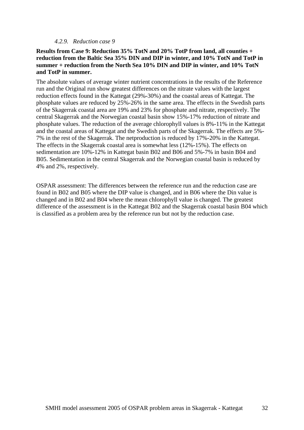#### *4.2.9. Reduction case 9*

#### **Results from Case 9: Reduction 35% TotN and 20% TotP from land, all counties + reduction from the Baltic Sea 35% DIN and DIP in winter, and 10% TotN and TotP in summer + reduction from the North Sea 10% DIN and DIP in winter, and 10% TotN and TotP in summer.**

The absolute values of average winter nutrient concentrations in the results of the Reference run and the Original run show greatest differences on the nitrate values with the largest reduction effects found in the Kattegat (29%-30%) and the coastal areas of Kattegat. The phosphate values are reduced by 25%-26% in the same area. The effects in the Swedish parts of the Skagerrak coastal area are 19% and 23% for phosphate and nitrate, respectively. The central Skagerrak and the Norwegian coastal basin show 15%-17% reduction of nitrate and phosphate values. The reduction of the average chlorophyll values is 8%-11% in the Kattegat and the coastal areas of Kattegat and the Swedish parts of the Skagerrak. The effects are 5%- 7% in the rest of the Skagerrak. The netproduction is reduced by 17%-20% in the Kattegat. The effects in the Skagerrak coastal area is somewhat less (12%-15%). The effects on sedimentation are 10%-12% in Kattegat basin B02 and B06 and 5%-7% in basin B04 and B05. Sedimentation in the central Skagerrak and the Norwegian coastal basin is reduced by 4% and 2%, respectively.

OSPAR assessment: The differences between the reference run and the reduction case are found in B02 and B05 where the DIP value is changed, and in B06 where the Din value is changed and in B02 and B04 where the mean chlorophyll value is changed. The greatest difference of the assessment is in the Kattegat B02 and the Skagerrak coastal basin B04 which is classified as a problem area by the reference run but not by the reduction case.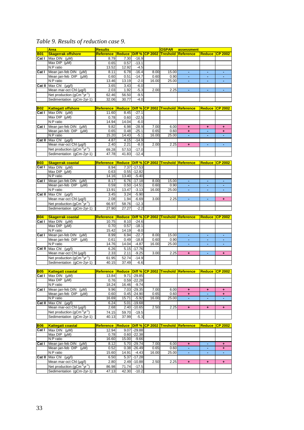# *Table 9. Results of reduction case 9.*

|                     | <b>Area</b>                                                                       | <b>Results</b>                                     |                |                                  |                              | OSPAR                          | assessment                               |                |                          |
|---------------------|-----------------------------------------------------------------------------------|----------------------------------------------------|----------------|----------------------------------|------------------------------|--------------------------------|------------------------------------------|----------------|--------------------------|
| <b>B01</b>          | <b>Skagerrak offshore</b>                                                         | <b>Reference</b>                                   |                |                                  | <b>Reduce Diff % CP 2002</b> | <b>Treshold</b>                | Reference                                |                | Reduce CP 2002           |
| Cat I               | Max $DIN$ ( $\mu M$ )                                                             | 8.79                                               | 7.30           | $-16.9$                          |                              |                                |                                          |                |                          |
|                     | Max DIP (uM)                                                                      | 0.65                                               | 0.57           | $-13.1$                          |                              |                                |                                          |                |                          |
|                     | N:P ratio                                                                         | 13.52                                              | 12.92          | $-4.5$                           |                              |                                |                                          |                |                          |
| Cat I               | Mean jan-feb DIN<br>$(\mu M)$<br>Mean jan-feb DIP<br>$(\mu M)$                    | 8.11<br>0.60                                       | 6.78<br>0.51   | $-16.4$<br>$-14.7$               | 8.00<br>0.60                 | 15.00<br>0.90                  | $\blacksquare$<br>÷,                     | Ξ<br>٠         | $\blacksquare$<br>$\sim$ |
|                     | N:P ratio                                                                         | 13.46                                              | 13.19          | $-2.0$                           | 16.00                        | 25.00                          | ÷                                        | $\blacksquare$ | $\blacksquare$           |
| Cat II              | Max Chl $(\mu g/l)$                                                               | 3.65                                               | 3.43           | $-6.0$                           |                              |                                |                                          |                |                          |
|                     | Mean mar-oct Chl (µg/l)                                                           | 2.03                                               | 1.92           | $-5.3$                           | 2.00                         | 2.25                           |                                          |                | ä,                       |
|                     | Net production (gCm <sup>-2</sup> yr <sup>-1</sup> )                              | 62.46                                              | 56.50          | $-9.5$                           |                              |                                |                                          |                |                          |
|                     | Sedimentation (gCm-2yr-1)                                                         | 32.06                                              | 30.77          | $-4.0$                           |                              |                                |                                          |                |                          |
|                     |                                                                                   |                                                    |                |                                  |                              |                                |                                          |                |                          |
| <b>B02</b><br>Cat I | <b>Kattegatt offshore</b><br>Max $DIN$ ( $\mu M$ )                                | <b>Reference</b><br>11.60                          | 8.45           | $-27.1$                          |                              | Reduce Diff % CP 2002 Treshold | Reference                                | <b>Reduce</b>  | $CP$ 2002                |
|                     | Max $DIP$ ( $\mu$ M)                                                              | 0.78                                               | 0.60           | $-22.5$                          |                              |                                |                                          |                |                          |
|                     | N:P ratio                                                                         | 14.94                                              | 14.04          | $-6.0$                           |                              |                                |                                          |                |                          |
| Cat I               | Mean jan-feb DIN (µM)                                                             | 9.82                                               | 6.98           | $-28.9$                          | 7.00                         | 6.00                           | ٠                                        | ٠              | ٠                        |
|                     | Mean jan-feb DIP (µM)                                                             | 0.65                                               | 0.48           | $-25.1$                          | 0.65                         | 0.60                           | $\ddot{}$                                | ÷.             | ٠                        |
|                     | N:P ratio                                                                         | 15.20                                              | 14.43          | $-5.1$                           | 16.00                        | 25.00                          | ä,                                       | ٠              |                          |
| Cat II              | Max Chl $(\mu g/l)$                                                               | 4.87                                               | 4.15           | $-14.9$                          |                              |                                |                                          |                |                          |
|                     | Mean mar-oct Chl (µg/l)                                                           | 2.40                                               | 2.21           | $-8.0$                           | 2.00                         | 2.25                           | $\ddot{}$                                | ÷,             | ÷,                       |
|                     | Net production ( $qCm^{-2}yr^{-1}$ )                                              | 69.28                                              | 57.53          | $-17.0$                          |                              |                                |                                          |                |                          |
|                     | Sedimentation (qCm-2yr-1)                                                         | 47.78                                              | 41.83          | $-12.4$                          |                              |                                |                                          |                |                          |
| <b>B03</b>          | <b>Skagerrak coastal</b>                                                          | <u>Reference</u>                                   |                |                                  | Reduce Diff % CP 2002        | <b>Treshold</b>                | Reference                                | <b>Reduce</b>  | <b>CP 2002</b>           |
| Cat I               | Max $DIN$ ( $\mu M$ )                                                             | 8.94                                               |                | 7.37 - 17.53                     |                              |                                |                                          |                |                          |
|                     | Max DIP (µM)                                                                      | 0.63                                               |                | $0.55 - 12.82$                   |                              |                                |                                          |                |                          |
|                     | N:P ratio                                                                         | 14.16                                              | 13.40          | $-5.40$                          |                              |                                |                                          |                |                          |
| Cat I               | Mean jan-feb DIN<br>$(\mu M)$                                                     | 8.17                                               |                | $6.76 - 17.18$                   | 8.00                         | 15.00                          | ٠                                        |                |                          |
|                     | Mean jan-feb DIP (µM)<br>N:P ratio                                                | 0.59                                               |                | $0.50 - 14.51$<br>$-3.13$        | 0.60<br>16.00                | 0.90<br>25.00                  | ÷                                        | ٠              | $\sim$                   |
| Cat II              | Max Chl (µg/l)                                                                    | 13.91<br>3.45                                      | 13.47<br>3.24  | $-5.90$                          |                              |                                |                                          |                |                          |
|                     | Mean mar-oct Chl (µg/l)                                                           | 2.08                                               | 1.94           | $-6.69$                          | 3.00                         | 2.25                           | Ξ                                        | $\blacksquare$ | ÷                        |
|                     | Net production ( $gCm-2yr-1$ )                                                    | 66.97                                              | 58.76          | $-12.3$                          |                              |                                |                                          |                |                          |
|                     | Sedimentation (gCm-2yr-1)                                                         | 27.90                                              | 27.27          | $-2.2$                           |                              |                                |                                          |                |                          |
|                     |                                                                                   |                                                    |                |                                  |                              |                                |                                          |                |                          |
|                     |                                                                                   |                                                    |                |                                  |                              |                                |                                          |                |                          |
| <b>B04</b>          | <b>Skagerrak coastal</b>                                                          | <u>Reference</u>                                   |                |                                  |                              |                                | Reduce Diff % CP 2002 Treshold Reference | <b>Reduce</b>  | $\overline{CP}$ 2002     |
| Cat I               | Max $DIN$ ( $\mu M$ )                                                             | 10.75                                              | 8.10           | $-24.6$                          |                              |                                |                                          |                |                          |
|                     | Max DIP (µM)                                                                      | 0.70                                               | 0.57           | $-18.1$                          |                              |                                |                                          |                |                          |
| Cat I               | N:P ratio<br>Mean jan-feb DIN<br>(µM)                                             | 15.42<br>8.99                                      | 14.19<br>6.94  | $-8.0$<br>$-22.7$                | 8.00                         | 15.00                          | ÷                                        | ÷              | ÷.                       |
|                     | Mean jan-feb DIP<br>$(\mu M)$                                                     | 0.61                                               | 0.49           | $-18.8$                          | 0.60                         | 0.90                           | ٠                                        | ٠              | ٠                        |
|                     | N:P ratio                                                                         | 14.76                                              | 14.04          | $-4.87$                          | 16.00                        | 25.00                          |                                          |                |                          |
| Cat II              | Max Chl (µq/l)                                                                    | 6.26                                               | 5.15           | $-17.76$                         |                              |                                |                                          |                |                          |
|                     | Mean mar-oct Chl (µg/l)                                                           | 2.33                                               | 2.11           | $-9.25$                          | 3.00                         | 2.25                           | $+$                                      |                | $\ddot{\phantom{1}}$     |
|                     | Net production (gCm <sup>-2</sup> yr <sup>-1</sup> )                              | 61.95                                              | 52.74          | $-14.9$                          |                              |                                |                                          |                |                          |
|                     | Sedimentation (gCm-2yr-1)                                                         | 40.15                                              | 37.49          | $-6.6$                           |                              |                                |                                          |                |                          |
| <b>B05</b>          | <b>Kattegatt coastal</b>                                                          | Reference Reduce Diff % CP 2002 Treshold Reference |                |                                  |                              |                                |                                          |                | <b>Reduce CP 2002</b>    |
|                     | [Max DIN (µM)                                                                     | 13.84                                              |                | $9.71$ -29.85                    |                              |                                |                                          |                |                          |
|                     | Max $DIP$ ( $\mu$ M)                                                              | 0.76                                               |                | $0.59 - 22.28$                   |                              |                                |                                          |                |                          |
|                     | N:P ratio                                                                         | 18.24                                              | 16.46          | $-9.74$                          |                              |                                |                                          |                |                          |
| Cat I               | Mean jan-feb DIN<br>$(\mu M)$                                                     | 9.96                                               |                | 7.03 - 29.35                     | 7.00                         | 6.00                           | ٠                                        | ٠              | ٠                        |
|                     | Mean jan-feb DIP<br>$(\mu M)$                                                     | 0.60                                               |                | $0.45 - 24.90$                   | 0.65                         | 0.60                           | ٠                                        | ٠              | ٠                        |
|                     | N:P ratio                                                                         | 16.69                                              |                | 15.71 -5.92                      | 16.00                        | 25.00                          | ä,                                       | ä,             |                          |
| Cat II              | Max Chl $(\mu g/l)$<br>Mean mar-oct Chl (µg/l)                                    | 6.24<br>2.68                                       |                | $5.01 - 19.68$<br>$2.40 - 10.65$ | 2.50                         | 2.25                           | $\color{red}+$                           | ٠              | ٠                        |
|                     | Net production (gCm <sup>-2</sup> yr <sup>-1</sup> )                              | 74.15                                              | 59.70          | $-19.5$                          |                              |                                |                                          |                |                          |
|                     | Sedimentation (gCm-2yr-1)                                                         | 40.13                                              | 37.99          | $-5.3$                           |                              |                                |                                          |                |                          |
|                     |                                                                                   |                                                    |                |                                  |                              |                                |                                          |                |                          |
| <b>B06</b>          | <b>Kattegatt coastal</b>                                                          | Reference                                          |                |                                  |                              |                                | Reduce Diff % CP 2002 Treshold Reference | <b>Reduce</b>  | $CP$ 2002                |
| Cat I               | Max $DIN$ ( $\mu M$ )                                                             | 12.94                                              |                | $9.07 - 29.88$                   |                              |                                |                                          |                |                          |
|                     | Max $DIP$ ( $\mu$ M)<br>N:P ratio                                                 | 0.78<br>16.60                                      |                | $0.60 - 22.38$<br>15.00 -9.66    |                              |                                |                                          |                |                          |
| Cat I               | Mean jan-feb $DIN$ ( $\mu M$ )                                                    | 8.12                                               |                | 5.70 - 29.74                     | 7.00                         | 6.00                           | ÷                                        | ٠              | ÷                        |
|                     | Mean jan-feb DIP (µM)                                                             | 0.52                                               |                | $0.38 - 26.49$                   | 0.65                         | 0.60                           | Ξ                                        | ×.             | ٠                        |
|                     | N:P ratio                                                                         | 15.60                                              | 14.91          | $-4.43$                          | 16.00                        | 25.00                          | ٠                                        |                |                          |
| Cat II              | Max Chl $(\mu g/l)$                                                               | 6.50                                               |                | $5.37 - 17.28$                   |                              |                                |                                          |                |                          |
| $\overline{Cat}$    | Mean mar-oct ChI (µg/l)                                                           | 2.80                                               |                | $2.49 - 10.88$                   | 2.50                         | 2.25                           | ٠                                        | ٠              | ٠                        |
|                     | Net production (gCm <sup>-2</sup> yr <sup>-1</sup> )<br>Sedimentation (gCm-2yr-1) | 86.98<br>47.13                                     | 71.74<br>42.30 | $-17.5$<br>$-10.2$               |                              |                                |                                          |                |                          |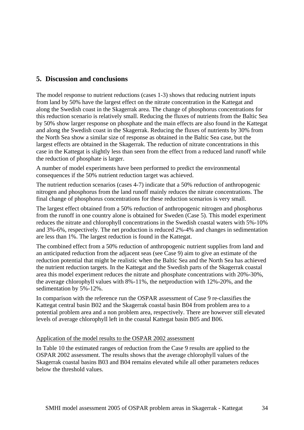## **5. Discussion and conclusions**

The model response to nutrient reductions (cases 1-3) shows that reducing nutrient inputs from land by 50% have the largest effect on the nitrate concentration in the Kattegat and along the Swedish coast in the Skagerrak area. The change of phosphorus concentrations for this reduction scenario is relatively small. Reducing the fluxes of nutrients from the Baltic Sea by 50% show larger response on phosphate and the main effects are also found in the Kattegat and along the Swedish coast in the Skagerrak. Reducing the fluxes of nutrients by 30% from the North Sea show a similar size of response as obtained in the Baltic Sea case, but the largest effects are obtained in the Skagerrak. The reduction of nitrate concentrations in this case in the Kattegat is slightly less than seen from the effect from a reduced land runoff while the reduction of phosphate is larger.

A number of model experiments have been performed to predict the environmental consequences if the 50% nutrient reduction target was achieved.

The nutrient reduction scenarios (cases 4-7) indicate that a 50% reduction of anthropogenic nitrogen and phosphorus from the land runoff mainly reduces the nitrate concentrations. The final change of phosphorus concentrations for these reduction scenarios is very small.

The largest effect obtained from a 50% reduction of anthropogenic nitrogen and phosphorus from the runoff in one country alone is obtained for Sweden (Case 5). This model experiment reduces the nitrate and chlorophyll concentrations in the Swedish coastal waters with 5%-10% and 3%-6%, respectively. The net production is reduced 2%-4% and changes in sedimentation are less than 1%. The largest reduction is found in the Kattegat.

The combined effect from a 50% reduction of anthropogenic nutrient supplies from land and an anticipated reduction from the adjacent seas (see Case 9) aim to give an estimate of the reduction potential that might be realistic when the Baltic Sea and the North Sea has achieved the nutrient reduction targets. In the Kattegat and the Swedish parts of the Skagerrak coastal area this model experiment reduces the nitrate and phosphate concentrations with 20%-30%, the average chlorophyll values with 8%-11%, the netproduction with 12%-20%, and the sedimentation by 5%-12%.

In comparison with the reference run the OSPAR assessment of Case 9 re-classifies the Kattegat central basin B02 and the Skagerrak coastal basin B04 from problem area to a potential problem area and a non problem area, respectively. There are however still elevated levels of average chlorophyll left in the coastal Kattegat basin B05 and B06.

#### Application of the model results to the OSPAR 2002 assessment

In Table 10 the estimated ranges of reduction from the Case 9 results are applied to the OSPAR 2002 assessment. The results shows that the average chlorophyll values of the Skagerrak coastal basins B03 and B04 remains elevated while all other parameters reduces below the threshold values.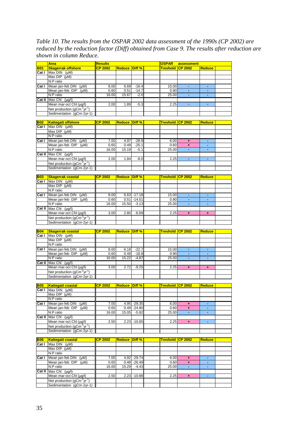*Table 10. The results from the OSPAR 2002 data assessment of the 1990s (CP 2002) are reduced by the reduction factor (Diff) obtained from Case 9. The results after reduction are shown in column Reduce.*   $\overline{\phantom{0}}$ r.

|                              | <b>Area</b>                                          | <b>Results</b> |                      |                | <b>OSPAR</b>             | assessment           |                      |  |
|------------------------------|------------------------------------------------------|----------------|----------------------|----------------|--------------------------|----------------------|----------------------|--|
| <b>B01</b>                   | <b>Skagerrak offshore</b>                            | <b>CP 2002</b> | <b>Reduce Diff %</b> |                | Treshold CP 2002         |                      | <b>Reduce</b>        |  |
| Cat I                        | Max $DIN$ ( $\mu M$ )                                |                |                      |                |                          |                      |                      |  |
|                              | Max DIP (uM)                                         |                |                      |                |                          |                      |                      |  |
|                              | N:P ratio                                            |                |                      |                |                          |                      |                      |  |
| Cat I                        | Mean jan-feb DIN (µM)                                | 8.00           | 6.69                 | $-16.4$        | 15.00                    | $\omega$             |                      |  |
|                              | Mean jan-feb DIP (µM)                                | 0.60           | 0.51                 | $-14.7$        | 0.90                     | Ξ                    | $\blacksquare$       |  |
|                              |                                                      |                |                      | $-2.0$         | 25.00                    |                      |                      |  |
|                              | N:P ratio                                            | 16.00          | 15.67                |                |                          |                      |                      |  |
|                              | Cat II Max Chi (µq/l)                                |                |                      |                |                          |                      |                      |  |
|                              | Mean mar-oct Chl (µg/l)                              | 2.00           | 1.89                 | $-5.3$         | 2.25                     | $\omega$             | $\blacksquare$       |  |
|                              | Net production ( $gCm^{-2}yr^{-1}$ )                 |                |                      |                |                          |                      |                      |  |
|                              | Sedimentation (gCm-2yr-1)                            |                |                      |                |                          |                      |                      |  |
|                              |                                                      |                |                      |                |                          |                      |                      |  |
| <b>B02</b>                   | <b>Kattegatt offshore</b>                            | <b>CP 2002</b> | <b>Reduce Diff %</b> |                | Treshold ICP 2002        |                      | <b>Reduce</b>        |  |
| Cat I                        | Max $DIN$ ( $\mu M$ )                                |                |                      |                |                          |                      |                      |  |
|                              | Max $DIP$ ( $\mu$ M)                                 |                |                      |                |                          |                      |                      |  |
|                              | N:P ratio                                            |                |                      |                |                          |                      |                      |  |
|                              |                                                      |                |                      |                |                          |                      |                      |  |
| Cat I                        | Mean jan-feb DIN (µM)                                | 7.00           | 4.97                 | $-28.9$        | 6.00                     | ÷.                   | $\blacksquare$       |  |
|                              | Mean jan-feb DIP (µM)                                | 0.65           | 0.49                 | $-25.1$        | 0.60                     | ÷                    | ٠                    |  |
|                              | N:P ratio                                            | 16.00          | 15.19                | $-5.1$         | 25.00                    |                      | $\blacksquare$       |  |
|                              | Cat II $Max ChI (µq/l)$                              |                |                      |                |                          |                      |                      |  |
|                              | Mean mar-oct Chl (µg/l)                              | 2.00           | 1.84                 | $-8.0$         | 2.25                     | $\blacksquare$       | ÷.                   |  |
|                              | Net production ( $gCm^2yr^1$ )                       |                |                      |                |                          |                      |                      |  |
|                              | Sedimentation (qCm-2yr-1)                            |                |                      |                |                          |                      |                      |  |
|                              |                                                      |                |                      |                |                          |                      |                      |  |
| <b>B03</b>                   |                                                      | <b>CP 2002</b> |                      | Diff %         |                          |                      |                      |  |
|                              | <b>Skagerrak coastal</b>                             |                | <b>Reduce</b>        |                | <u>Treshold ICP 2002</u> |                      | <b>Reduce</b>        |  |
| Cat I                        | Max DIN (µM)                                         |                |                      |                |                          |                      |                      |  |
|                              | Max $DIP$ ( $\mu$ M)                                 |                |                      |                |                          |                      |                      |  |
|                              | N:P ratio                                            |                |                      |                |                          |                      |                      |  |
| Cat I                        | Mean jan-feb DIN (µM)                                | 8.00           |                      | $6.63 - 17.18$ | 15.00                    |                      |                      |  |
|                              | Mean jan-feb $DIP$ ( $\mu$ M)                        | 0.60           |                      | $0.51 - 14.51$ | 0.90                     |                      | $\blacksquare$       |  |
|                              | N:P ratio                                            | 16.00          | 15.50                | $-3.13$        | 25.00                    | $\blacksquare$       | $\blacksquare$       |  |
|                              | Cat II Max Chi (µg/l)                                |                |                      |                |                          |                      |                      |  |
|                              | Mean mar-oct Chl (µg/l)                              | 3.00           | 2.80                 | $-6.69$        | 2.25                     | $+$                  | $\ddot{\phantom{1}}$ |  |
|                              |                                                      |                |                      |                |                          |                      |                      |  |
|                              | Net production (gCm <sup>-2</sup> yr <sup>-1</sup> ) |                |                      |                |                          |                      |                      |  |
|                              | Sedimentation (gCm-2yr-1)                            |                |                      |                |                          |                      |                      |  |
|                              |                                                      |                |                      |                |                          |                      |                      |  |
|                              |                                                      |                |                      |                |                          |                      |                      |  |
|                              | <b>Skagerrak coastal</b>                             | <b>CP 2002</b> | <b>Reduce Diff %</b> |                | Treshold CP 2002         |                      | <b>Reduce</b>        |  |
| Cat I                        | $Max$ DIN $(\mu M)$                                  |                |                      |                |                          |                      |                      |  |
| <b>B04</b>                   | Max DIP (µM)                                         |                |                      |                |                          |                      |                      |  |
|                              | N:P ratio                                            |                |                      |                |                          |                      |                      |  |
|                              |                                                      |                |                      |                |                          |                      |                      |  |
| Cat I                        | Mean jan-feb DIN (µM)                                | 8.00           | 6.18                 | $-22.7$        | 15.00                    |                      |                      |  |
|                              | Mean jan-feb DIP<br>$(\mu M)$                        | 0.60           | 0.49                 | $-18.8$        | 0.90                     | ÷                    | ÷                    |  |
|                              | N:P ratio                                            | 16.00          | 15.22                | $-4.87$        | 25.00                    |                      |                      |  |
|                              | Cat II Max Chi (µg/l)                                |                |                      |                |                          |                      |                      |  |
|                              | Mean mar-oct Chl (µg/l)                              | 3.00           | 2.72                 | $-9.25$        | 2.25                     | $\ddot{\phantom{1}}$ | ÷                    |  |
|                              | Net production ( $qCm^{-2}yr^{-1}$ )                 |                |                      |                |                          |                      |                      |  |
|                              | Sedimentation (gCm-2yr-1)                            |                |                      |                |                          |                      |                      |  |
|                              |                                                      |                |                      |                |                          |                      |                      |  |
|                              | <b>Kattegatt coastal</b>                             | <b>CP 2002</b> | <b>Reduce Diff %</b> |                | Treshold CP 2002         |                      | <b>Reduce</b>        |  |
|                              | $Max$ DIN $(\mu M)$                                  |                |                      |                |                          |                      |                      |  |
|                              | Max $DIP$ ( $\mu$ M)                                 |                |                      |                |                          |                      |                      |  |
|                              | N:P ratio                                            |                |                      |                |                          |                      |                      |  |
|                              |                                                      |                |                      |                |                          |                      | $\blacksquare$       |  |
| <b>B05</b><br>Cat I<br>Cat I | Mean jan-feb DIN (µM)                                | 7.00           |                      | 4.95 -29.35    | 6.00                     | $\ddot{\phantom{1}}$ |                      |  |
|                              | Mean jan-feb DIP (µM)                                | 0.65           |                      | $0.49 - 24.90$ | 0.60                     | ÷                    | ٠                    |  |
|                              | N:P ratio                                            | 16.00          | 15.05                | $-5.92$        | 25.00                    |                      | ÷,                   |  |
|                              | Cat II $Max ChI (µq/l)$                              |                |                      |                |                          |                      |                      |  |
|                              | Mean mar-oct ChI (µg/l)                              | 2.50           | 2.23                 | $-10.65$       | 2.25                     | $\pm$                | ÷.                   |  |
|                              | Net production (gCm <sup>-2</sup> yr <sup>-1</sup> ) |                |                      |                |                          |                      |                      |  |
|                              | Sedimentation (qCm-2yr-1)                            |                |                      |                |                          |                      |                      |  |
|                              |                                                      |                |                      |                |                          |                      |                      |  |
|                              | <b>Kattegatt coastal</b>                             | <b>CP 2002</b> | <b>Reduce</b>        | Diff %         | <u>Treshold  CP 2002</u> |                      | <b>Reduce</b>        |  |
| Cat I                        | Max $DIN$ ( $\mu M$ )                                |                |                      |                |                          |                      |                      |  |
|                              |                                                      |                |                      |                |                          |                      |                      |  |
|                              | Max $DIP$ ( $\mu$ M)                                 |                |                      |                |                          |                      |                      |  |
|                              | N:P ratio                                            |                |                      |                |                          |                      |                      |  |
| Cat I                        | Mean jan-feb DIN (µM)                                | 7.00           |                      | 4.92 - 29.74   | 6.00                     | ÷                    | $\blacksquare$       |  |
|                              | Mean jan-feb DIP (µM)                                | 0.65           |                      | $0.48 - 26.49$ | 0.60                     | ٠                    | $\blacksquare$       |  |
| <b>B06</b>                   | N:P ratio                                            | 16.00          | 15.29                | $-4.43$        | 25.00                    | ÷                    | ä,                   |  |
|                              | <b>Cat II</b> Max Chi $(\mu g/l)$                    |                |                      |                |                          |                      |                      |  |
|                              | Mean mar-oct ChI (µg/l)                              | 2.50           | 2.23                 | $-10.88$       | 2.25                     | $\ddot{}$            | ä,                   |  |
|                              | Net production (gCm <sup>-2</sup> yr <sup>-1</sup> ) |                |                      |                |                          |                      |                      |  |
|                              | Sedimentation (gCm-2yr-1)                            |                |                      |                |                          |                      |                      |  |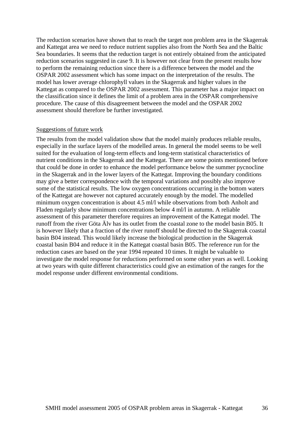The reduction scenarios have shown that to reach the target non problem area in the Skagerrak and Kattegat area we need to reduce nutrient supplies also from the North Sea and the Baltic Sea boundaries. It seems that the reduction target is not entirely obtained from the anticipated reduction scenarios suggested in case 9. It is however not clear from the present results how to perform the remaining reduction since there is a difference between the model and the OSPAR 2002 assessment which has some impact on the interpretation of the results. The model has lower average chlorophyll values in the Skagerrak and higher values in the Kattegat as compared to the OSPAR 2002 assessment. This parameter has a major impact on the classification since it defines the limit of a problem area in the OSPAR comprehensive procedure. The cause of this disagreement between the model and the OSPAR 2002 assessment should therefore be further investigated.

#### Suggestions of future work

The results from the model validation show that the model mainly produces reliable results, especially in the surface layers of the modelled areas. In general the model seems to be well suited for the evaluation of long-term effects and long-term statistical characteristics of nutrient conditions in the Skagerrak and the Kattegat. There are some points mentioned before that could be done in order to enhance the model performance below the summer pycnocline in the Skagerrak and in the lower layers of the Kattegat. Improving the boundary conditions may give a better correspondence with the temporal variations and possibly also improve some of the statistical results. The low oxygen concentrations occurring in the bottom waters of the Kattegat are however not captured accurately enough by the model. The modelled minimum oxygen concentration is about 4.5 ml/l while observations from both Anholt and Fladen regularly show minimum concentrations below 4 ml/l in autumn. A reliable assessment of this parameter therefore requires an improvement of the Kattegat model. The runoff from the river Göta Älv has its outlet from the coastal zone to the model basin B05. It is however likely that a fraction of the river runoff should be directed to the Skagerrak coastal basin B04 instead. This would likely increase the biological production in the Skagerrak coastal basin B04 and reduce it in the Kattegat coastal basin B05. The reference run for the reduction cases are based on the year 1994 repeated 10 times. It might be valuable to investigate the model response for reductions performed on some other years as well. Looking at two years with quite different characteristics could give an estimation of the ranges for the model response under different environmental conditions.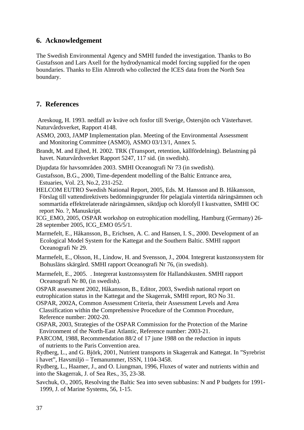## **6. Acknowledgement**

The Swedish Environmental Agency and SMHI funded the investigation. Thanks to Bo Gustafsson and Lars Axell for the hydrodynamical model forcing supplied for the open boundaries. Thanks to Elin Almroth who collected the ICES data from the North Sea boundary.

### **7. References**

 Areskoug, H. 1993. nedfall av kväve och fosfor till Sverige, Östersjön och Västerhavet. Naturvårdsverket, Rapport 4148.

- ASMO, 2003, JAMP Implementation plan. Meeting of the Environmental Assessment and Monitoring Committee (ASMO), ASMO 03/13/1, Annex 5.
- Brandt, M. and Ejhed, H. 2002. TRK (Transport, retention, källfördelning). Belastning på havet. Naturvårdsverket Rapport 5247, 117 sid. (in swedish).

Djupdata för havsområden 2003. SMHI Oceanografi Nr 73 (in swedish).

Gustafsson, B.G., 2000, Time-dependent modelling of the Baltic Entrance area, Estuaries, Vol. 23, No.2, 231-252.

HELCOM EUTRO Swedish National Report, 2005, Eds. M. Hansson and B. Håkansson, Förslag till vattendirektivets bedömningsgrunder för pelagiala vintertida näringsämnen och sommartida effektrelaterade näringsämnen, siktdjup och klorofyll I kustvatten, SMHI OC report No. ?, Manuskript.

ICG\_EMO, 2005, OSPAR workshop on eutrophication modelling, Hamburg (Germany) 26- 28 september 2005, ICG\_EMO 05/5/1.

- Marmefelt, E., Håkansson, B., Erichsen, A. C. and Hansen, I. S., 2000. Development of an Ecological Model System for the Kattegat and the Southern Baltic. SMHI rapport Oceanografi Nr 29.
- Marmefelt, E., Olsson, H., Lindow, H. and Svensson, J., 2004. Integrerat kustzonssystem för Bohusläns skärgård. SMHI rapport Oceanografi Nr 76, (in swedish).
- Marmefelt, E., 2005. . Integrerat kustzonssystem för Hallandskusten. SMHI rapport Oceanografi Nr 80, (in swedish).

OSPAR assessment 2002, Håkansson, B., Editor, 2003, Swedish national report on eutrophication status in the Kattegat and the Skagerrak, SMHI report, RO No 31.

OSPAR, 2002A, Common Assessment Criteria, their Assessment Levels and Area Classification within the Comprehensive Procedure of the Common Procedure. Reference number: 2002-20.

OSPAR, 2003, Strategies of the OSPAR Commission for the Protection of the Marine Environment of the North-East Atlantic, Reference number: 2003-21.

PARCOM, 1988, Recommendation 88/2 of 17 june 1988 on the reduction in inputs of nutrients to the Paris Convention area.

Rydberg, L., and G. Björk, 2001, Nutrient transports in Skagerrak and Kattegat. In "Syrebrist i havet", Havsmiljö – Temanummer, ISSN, 1104-3458.

Rydberg, L., Haamer, J., and O. Liungman, 1996, Fluxes of water and nutrients within and into the Skagerrak, J. of Sea Res., 35, 23-38.

Savchuk, O., 2005, Resolving the Baltic Sea into seven subbasins: N and P budgets for 1991- 1999, J. of Marine Systems, 56, 1-15.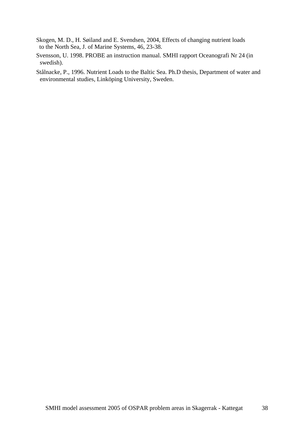- Skogen, M. D., H. Søiland and E. Svendsen, 2004, Effects of changing nutrient loads to the North Sea, J. of Marine Systems, 46, 23-38.
- Svensson, U. 1998. PROBE an instruction manual. SMHI rapport Oceanografi Nr 24 (in swedish).
- Stålnacke, P., 1996. Nutrient Loads to the Baltic Sea. Ph.D thesis, Department of water and environmental studies, Linköping University, Sweden.